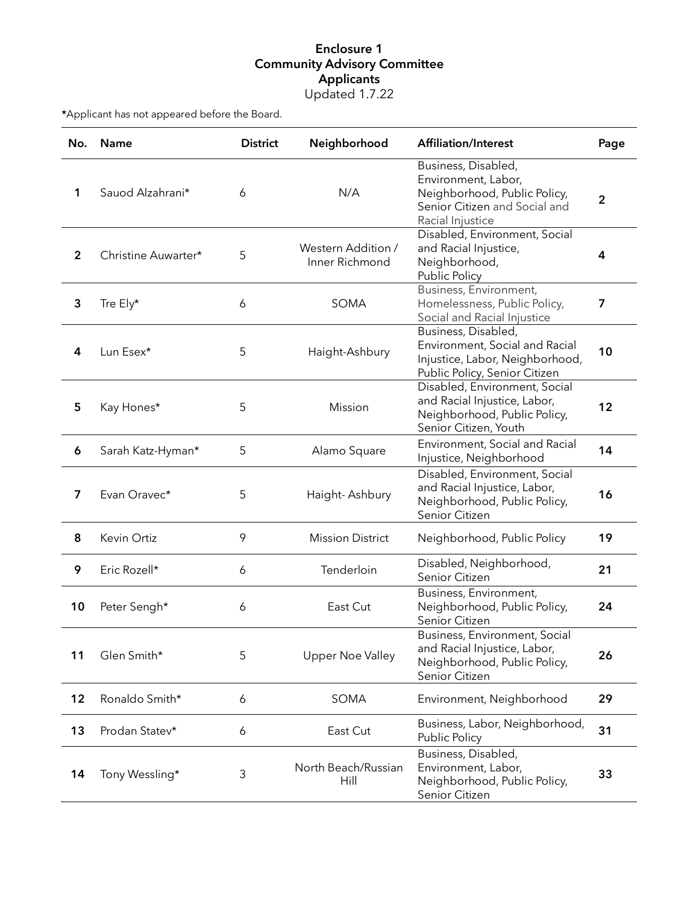## Enclosure 1 Community Advisory Committee Applicants Updated 1.7.22

\*Applicant has not appeared before the Board.

| No.            | Name                | <b>District</b> | Neighborhood                         | <b>Affiliation/Interest</b>                                                                                                     | Page         |
|----------------|---------------------|-----------------|--------------------------------------|---------------------------------------------------------------------------------------------------------------------------------|--------------|
| 1              | Sauod Alzahrani*    | 6               | N/A                                  | Business, Disabled,<br>Environment, Labor,<br>Neighborhood, Public Policy,<br>Senior Citizen and Social and<br>Racial Injustice | $\mathbf{2}$ |
| $\overline{2}$ | Christine Auwarter* | 5               | Western Addition /<br>Inner Richmond | Disabled, Environment, Social<br>and Racial Injustice,<br>Neighborhood,<br>Public Policy                                        | 4            |
| 3              | Tre Ely*            | 6               | SOMA                                 | Business, Environment,<br>Homelessness, Public Policy,<br>Social and Racial Injustice                                           | 7            |
| 4              | Lun Esex*           | 5               | Haight-Ashbury                       | Business, Disabled,<br>Environment, Social and Racial<br>Injustice, Labor, Neighborhood,<br>Public Policy, Senior Citizen       | 10           |
| 5              | Kay Hones*          | 5               | <b>Mission</b>                       | Disabled, Environment, Social<br>and Racial Injustice, Labor,<br>Neighborhood, Public Policy,<br>Senior Citizen, Youth          | 12           |
| 6              | Sarah Katz-Hyman*   | 5               | Alamo Square                         | Environment, Social and Racial<br>Injustice, Neighborhood                                                                       | 14           |
| $\overline{7}$ | Evan Oravec*        | 5               | Haight-Ashbury                       | Disabled, Environment, Social<br>and Racial Injustice, Labor,<br>Neighborhood, Public Policy,<br>Senior Citizen                 | 16           |
| 8              | Kevin Ortiz         | 9               | <b>Mission District</b>              | Neighborhood, Public Policy                                                                                                     | 19           |
| 9              | Eric Rozell*        | 6               | Tenderloin                           | Disabled, Neighborhood,<br>Senior Citizen                                                                                       | 21           |
| 10             | Peter Sengh*        | 6               | East Cut                             | Business, Environment,<br>Neighborhood, Public Policy,<br>Senior Citizen                                                        | 24           |
| 11             | Glen Smith*         | 5               | Upper Noe Valley                     | Business, Environment, Social<br>and Racial Injustice, Labor,<br>Neighborhood, Public Policy,<br>Senior Citizen                 | 26           |
| 12             | Ronaldo Smith*      | 6               | SOMA                                 | Environment, Neighborhood                                                                                                       | 29           |
| 13             | Prodan Statev*      | 6               | East Cut                             | Business, Labor, Neighborhood,<br>Public Policy                                                                                 | 31           |
| 14             | Tony Wessling*      | 3               | North Beach/Russian<br>Hill          | Business, Disabled,<br>Environment, Labor,<br>Neighborhood, Public Policy,<br>Senior Citizen                                    | 33           |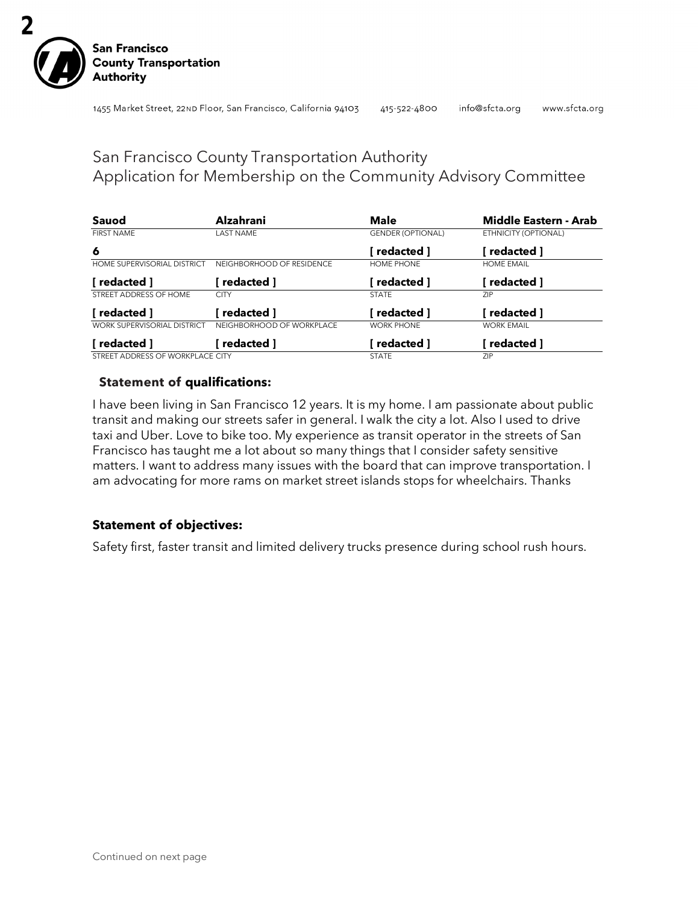

## San Francisco County Transportation Authority Application for Membership on the Community Advisory Committee

| Sauod                              | <b>Alzahrani</b>          | <b>Male</b>              | Middle Eastern - Arab |
|------------------------------------|---------------------------|--------------------------|-----------------------|
| <b>FIRST NAME</b>                  | <b>LAST NAME</b>          | <b>GENDER (OPTIONAL)</b> | ETHNICITY (OPTIONAL)  |
| 6                                  |                           | redacted 1               | redacted 1            |
| HOME SUPERVISORIAL DISTRICT        | NEIGHBORHOOD OF RESIDENCE | HOME PHONE               | <b>HOME EMAIL</b>     |
| 「redacted 1                        | redacted 1                | redacted 1               | redacted ]            |
| STREET ADDRESS OF HOME             | <b>CITY</b>               | <b>STATE</b>             | ZIP.                  |
| [ redacted ]                       | redacted 1                | redacted 1               | redacted ]            |
| <b>WORK SUPERVISORIAL DISTRICT</b> | NEIGHBORHOOD OF WORKPLACE | <b>WORK PHONE</b>        | <b>WORK EMAIL</b>     |
| [ redacted ]                       | redacted ]                | redacted ]               | redacted ]            |
| STREET ADDRESS OF WORKPLACE CITY   |                           | <b>STATE</b>             | ZIP                   |

## **Statement of qualifications:**

I have been living in San Francisco 12 years. It is my home. I am passionate about public transit and making our streets safer in general. I walk the city a lot. Also I used to drive taxi and Uber. Love to bike too. My experience as transit operator in the streets of San Francisco has taught me a lot about so many things that I consider safety sensitive matters. I want to address many issues with the board that can improve transportation. I am advocating for more rams on market street islands stops for wheelchairs. Thanks

## **Statement of objectives:**

Safety first, faster transit and limited delivery trucks presence during school rush hours.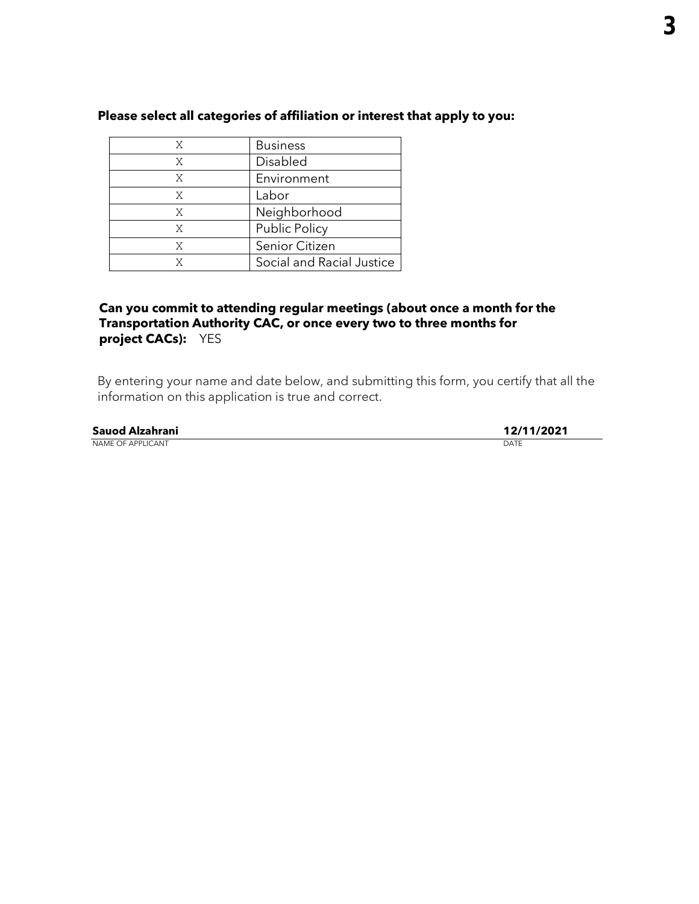| X | <b>Business</b>           |
|---|---------------------------|
| Χ | Disabled                  |
| Χ | Environment               |
| X | Labor                     |
| Χ | Neighborhood              |
| X | <b>Public Policy</b>      |
| Χ | Senior Citizen            |
|   | Social and Racial Justice |

## **Can you commit to attending regular meetings (about once a month for the Transportation Authority CAC, or once every two to three months for project CACs):** YES

| Sauod Alzahrani          | 12/11/2021 |
|--------------------------|------------|
| <b>NAME OF APPLICANT</b> | DATE       |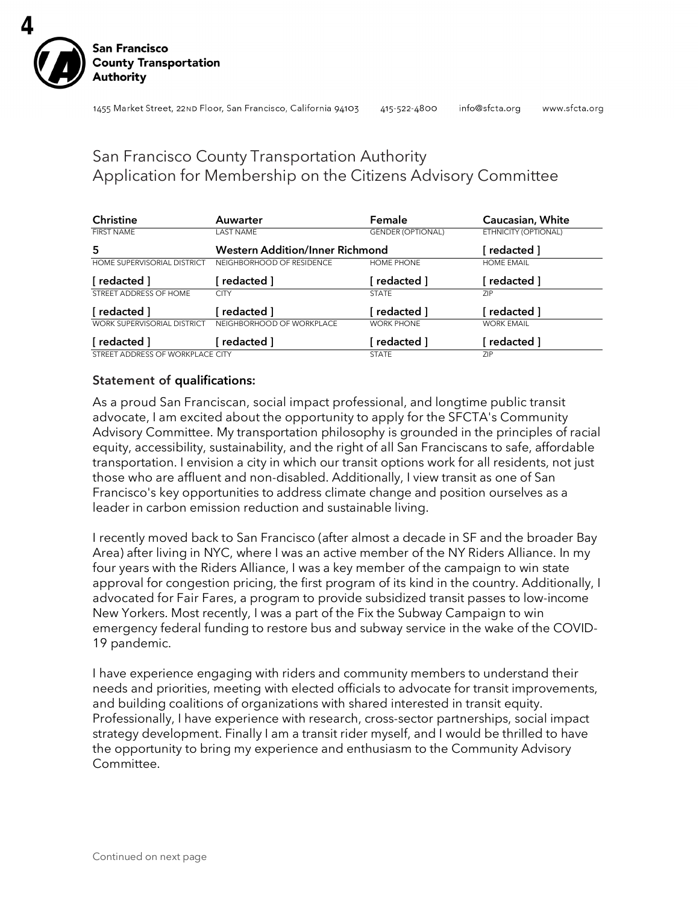

## San Francisco County Transportation Authority Application for Membership on the Citizens Advisory Committee

| <b>Christine</b>                   | Auwarter                               | Female                   | Caucasian, White     |
|------------------------------------|----------------------------------------|--------------------------|----------------------|
| <b>FIRST NAME</b>                  | <b>LAST NAME</b>                       | <b>GENDER (OPTIONAL)</b> | ETHNICITY (OPTIONAL) |
| 5                                  | <b>Western Addition/Inner Richmond</b> |                          | redacted 1           |
| <b>HOME SUPERVISORIAL DISTRICT</b> | NEIGHBORHOOD OF RESIDENCE              | <b>HOME PHONE</b>        | <b>HOME EMAIL</b>    |
| [redacted]                         | redacted 1                             | redacted ]               | redacted 1           |
| STREET ADDRESS OF HOME             | <b>CITY</b>                            | <b>STATE</b>             | <b>ZIP</b>           |
| [redacted]                         | redacted 1                             | 「redacted 1              | redacted 1           |
| <b>WORK SUPERVISORIAL DISTRICT</b> | NEIGHBORHOOD OF WORKPLACE              | <b>WORK PHONE</b>        | <b>WORK EMAIL</b>    |
| [ redacted ]                       | redacted 1                             | redacted ]               | redacted ]           |
| STREET ADDRESS OF WORKPLACE CITY   |                                        | <b>STATE</b>             | <b>ZIP</b>           |

## Statement of qualifications:

As a proud San Franciscan, social impact professional, and longtime public transit advocate, I am excited about the opportunity to apply for the SFCTA's Community Advisory Committee. My transportation philosophy is grounded in the principles of racial equity, accessibility, sustainability, and the right of all San Franciscans to safe, affordable transportation. I envision a city in which our transit options work for all residents, not just those who are affluent and non-disabled. Additionally, I view transit as one of San Francisco's key opportunities to address climate change and position ourselves as a leader in carbon emission reduction and sustainable living.

I recently moved back to San Francisco (after almost a decade in SF and the broader Bay Area) after living in NYC, where I was an active member of the NY Riders Alliance. In my four years with the Riders Alliance, I was a key member of the campaign to win state approval for congestion pricing, the first program of its kind in the country. Additionally, I advocated for Fair Fares, a program to provide subsidized transit passes to low-income New Yorkers. Most recently, I was a part of the Fix the Subway Campaign to win emergency federal funding to restore bus and subway service in the wake of the COVID-19 pandemic.

I have experience engaging with riders and community members to understand their needs and priorities, meeting with elected officials to advocate for transit improvements, and building coalitions of organizations with shared interested in transit equity. Professionally, I have experience with research, cross-sector partnerships, social impact strategy development. Finally I am a transit rider myself, and I would be thrilled to have the opportunity to bring my experience and enthusiasm to the Community Advisory Committee.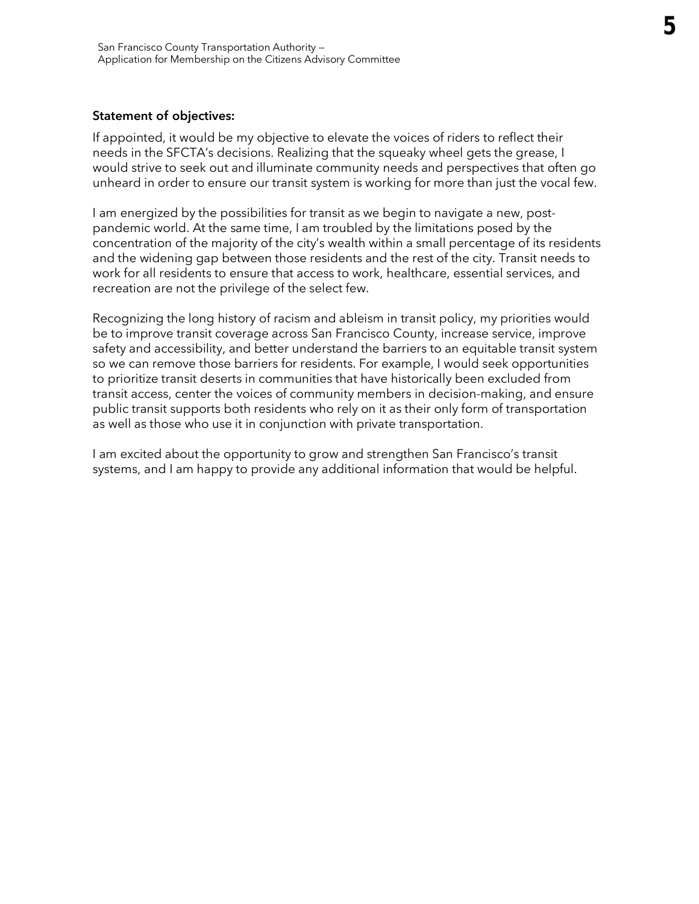### Statement of objectives:

If appointed, it would be my objective to elevate the voices of riders to reflect their needs in the SFCTA's decisions. Realizing that the squeaky wheel gets the grease, I would strive to seek out and illuminate community needs and perspectives that often go unheard in order to ensure our transit system is working for more than just the vocal few.

I am energized by the possibilities for transit as we begin to navigate a new, postpandemic world. At the same time, I am troubled by the limitations posed by the concentration of the majority of the city's wealth within a small percentage of its residents and the widening gap between those residents and the rest of the city. Transit needs to work for all residents to ensure that access to work, healthcare, essential services, and recreation are not the privilege of the select few.

Recognizing the long history of racism and ableism in transit policy, my priorities would be to improve transit coverage across San Francisco County, increase service, improve safety and accessibility, and better understand the barriers to an equitable transit system so we can remove those barriers for residents. For example, I would seek opportunities to prioritize transit deserts in communities that have historically been excluded from transit access, center the voices of community members in decision-making, and ensure public transit supports both residents who rely on it as their only form of transportation as well as those who use it in conjunction with private transportation.

I am excited about the opportunity to grow and strengthen San Francisco's transit systems, and I am happy to provide any additional information that would be helpful.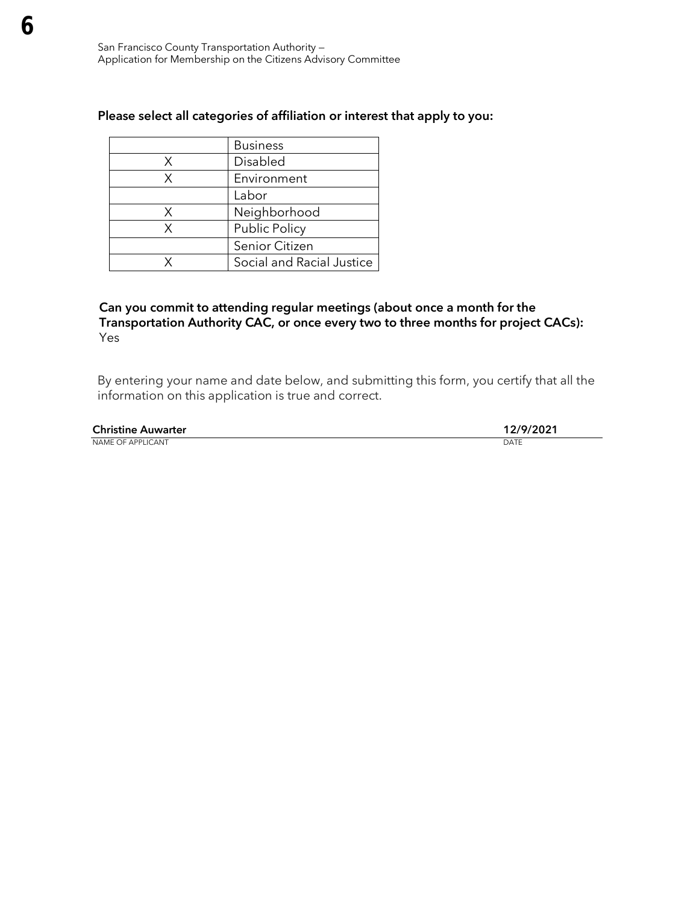|   | <b>Business</b>           |
|---|---------------------------|
| X | Disabled                  |
| Χ | Environment               |
|   | Labor                     |
| X | Neighborhood              |
| x | Public Policy             |
|   | Senior Citizen            |
|   | Social and Racial Justice |

## Can you commit to attending regular meetings (about once a month for the Transportation Authority CAC, or once every two to three months for project CACs): Yes

By entering your name and date below, and submitting this form, you certify that all the information on this application is true and correct.

Christine Auwarter 12/9/2021 NAME OF APPLICANT DATE DATE OF A SERVICE AND A SERVICE OF A SERVICE OF A SERVICE OF A SERVICE OF A SERVICE OF A SERVICE OF A SERVICE OF A SERVICE OF A SERVICE OF A SERVICE OF A SERVICE OF A SERVICE OF A SERVICE OF A SERVIC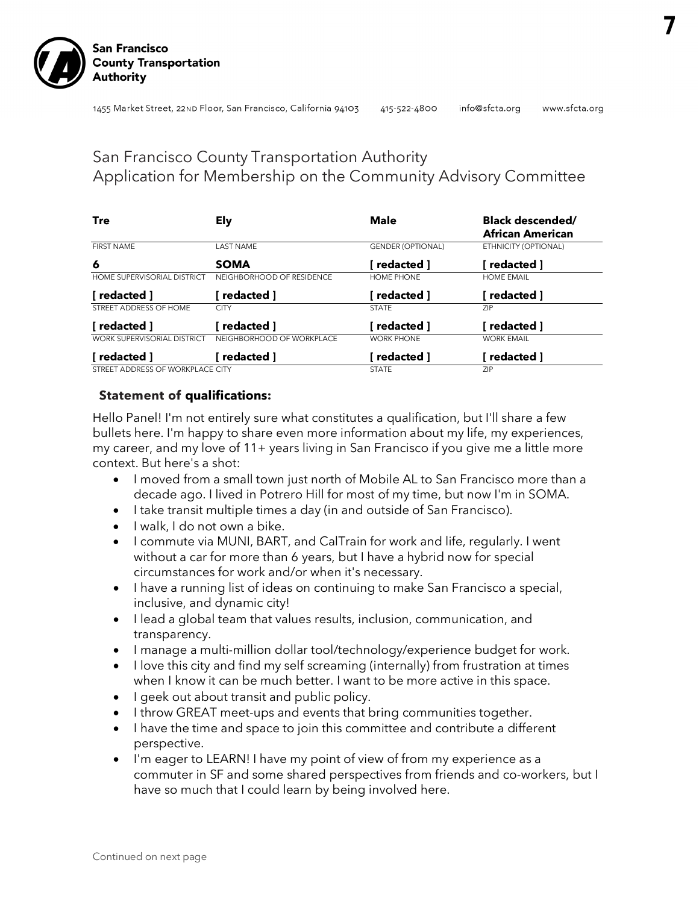

## San Francisco County Transportation Authority Application for Membership on the Community Advisory Committee

| Tre                                | <b>Ely</b>                | <b>Male</b>              | <b>Black descended/</b><br>African American |
|------------------------------------|---------------------------|--------------------------|---------------------------------------------|
| <b>FIRST NAME</b>                  | <b>LAST NAME</b>          | <b>GENDER (OPTIONAL)</b> | ETHNICITY (OPTIONAL)                        |
| 6                                  | <b>SOMA</b>               | redacted 1               | redacted 1                                  |
| <b>HOME SUPERVISORIAL DISTRICT</b> | NEIGHBORHOOD OF RESIDENCE | HOME PHONE               | <b>HOME EMAIL</b>                           |
| i redacted 1                       | redacted ]                | redacted ]               | redacted ]                                  |
| STREET ADDRESS OF HOME             | <b>CITY</b>               | <b>STATE</b>             | <b>ZIP</b>                                  |
| redacted 1                         | redacted 1                | redacted 1               | redacted 1                                  |
| <b>WORK SUPERVISORIAL DISTRICT</b> | NEIGHBORHOOD OF WORKPLACE | <b>WORK PHONE</b>        | <b>WORK EMAIL</b>                           |
| redacted 1                         | redacted 1                | redacted 1               | redacted 1                                  |
| STREET ADDRESS OF WORKPLACE CITY   |                           | <b>STATE</b>             | <b>ZIP</b>                                  |

## **Statement of qualifications:**

Hello Panel! I'm not entirely sure what constitutes a qualification, but I'll share a few bullets here. I'm happy to share even more information about my life, my experiences, my career, and my love of 11+ years living in San Francisco if you give me a little more context. But here's a shot:

- I moved from a small town just north of Mobile AL to San Francisco more than a decade ago. I lived in Potrero Hill for most of my time, but now I'm in SOMA.
- I take transit multiple times a day (in and outside of San Francisco).
- I walk, I do not own a bike.
- I commute via MUNI, BART, and CalTrain for work and life, regularly. I went without a car for more than 6 years, but I have a hybrid now for special circumstances for work and/or when it's necessary.
- I have a running list of ideas on continuing to make San Francisco a special, inclusive, and dynamic city!
- I lead a global team that values results, inclusion, communication, and transparency.
- I manage a multi-million dollar tool/technology/experience budget for work.
- I love this city and find my self screaming (internally) from frustration at times when I know it can be much better. I want to be more active in this space.
- I geek out about transit and public policy.
- I throw GREAT meet-ups and events that bring communities together.
- I have the time and space to join this committee and contribute a different perspective.
- I'm eager to LEARN! I have my point of view of from my experience as a commuter in SF and some shared perspectives from friends and co-workers, but I have so much that I could learn by being involved here.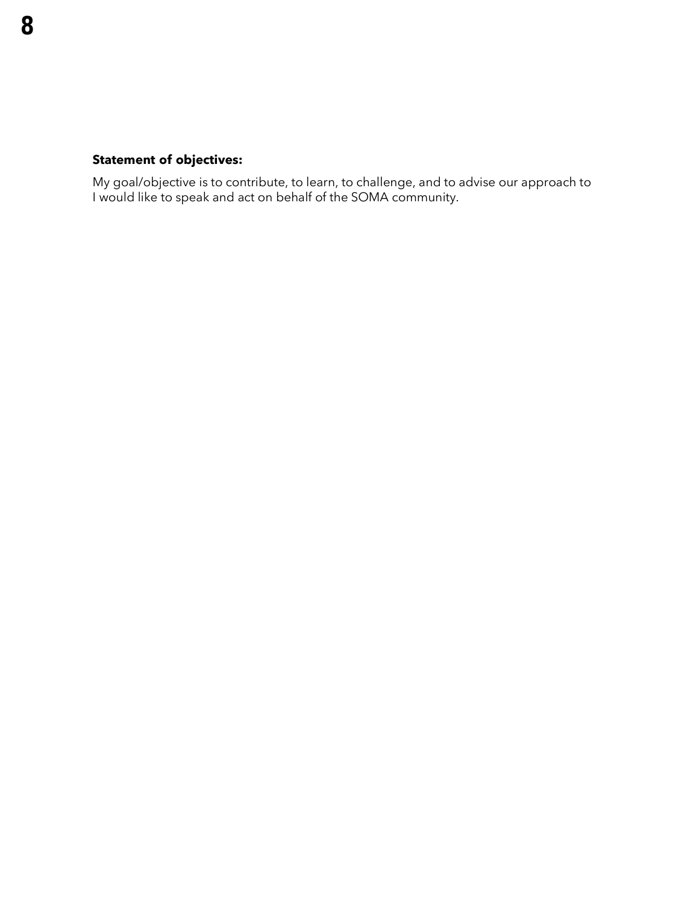## **Statement of objectives:**

My goal/objective is to contribute, to learn, to challenge, and to advise our approach to I would like to speak and act on behalf of the SOMA community.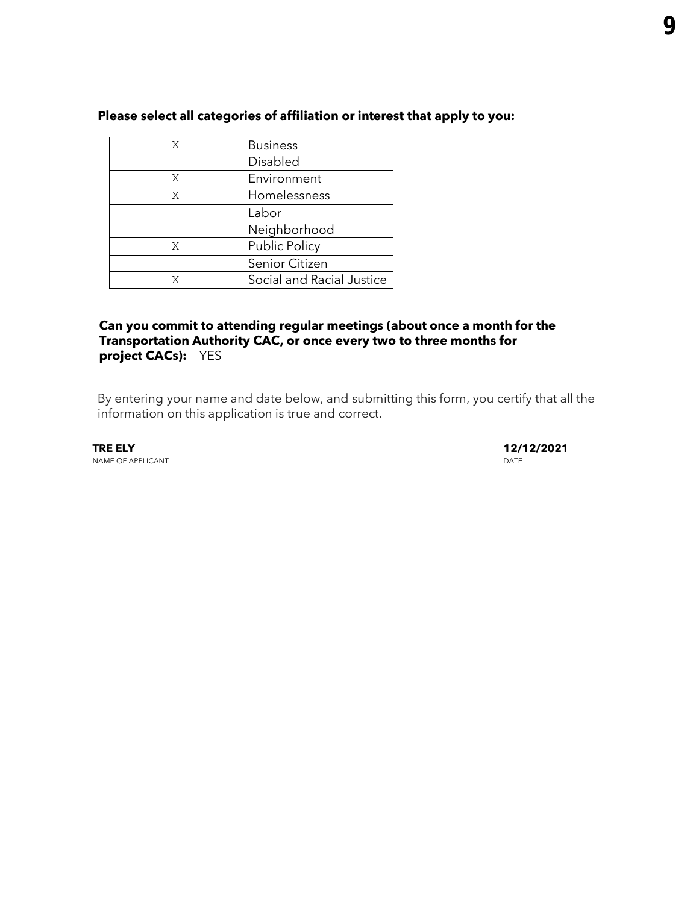| X | <b>Business</b>           |
|---|---------------------------|
|   | Disabled                  |
| Χ | Environment               |
| X | Homelessness              |
|   | Labor                     |
|   | Neighborhood              |
| X | Public Policy             |
|   | Senior Citizen            |
| X | Social and Racial Justice |

## **Can you commit to attending regular meetings (about once a month for the Transportation Authority CAC, or once every two to three months for project CACs):** YES

By entering your name and date below, and submitting this form, you certify that all the information on this application is true and correct.

| <b>TRE ELY</b>    |      |
|-------------------|------|
| NAME OF APPLICANT | DATE |

**TRE ELY 12/12/2021**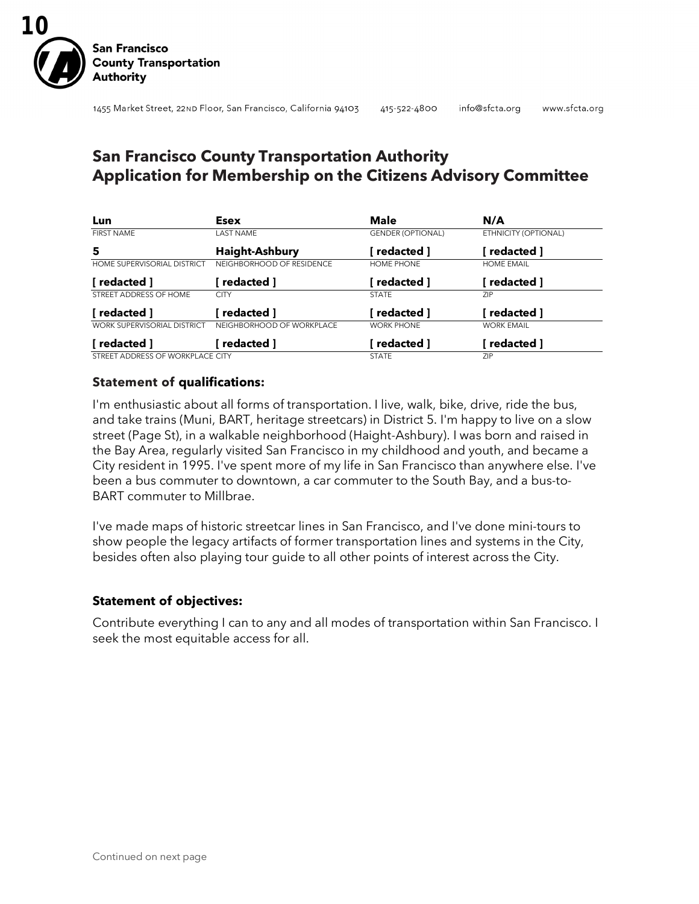

## **San Francisco County Transportation Authority Application for Membership on the Citizens Advisory Committee**

| Lun                                | <b>Esex</b>               | <b>Male</b>              | N/A                  |
|------------------------------------|---------------------------|--------------------------|----------------------|
| <b>FIRST NAME</b>                  | <b>LAST NAME</b>          | <b>GENDER (OPTIONAL)</b> | ETHNICITY (OPTIONAL) |
| 5                                  | <b>Haight-Ashbury</b>     | redacted 1               | redacted ]           |
| <b>HOME SUPERVISORIAL DISTRICT</b> | NEIGHBORHOOD OF RESIDENCE | HOME PHONE               | <b>HOME EMAIL</b>    |
| [ redacted ]                       | redacted 1                | redacted 1               | redacted ]           |
| STREET ADDRESS OF HOME             | <b>CITY</b>               | <b>STATE</b>             | <b>ZIP</b>           |
| [ redacted ]                       | redacted 1                | redacted 1               | redacted ]           |
| <b>WORK SUPERVISORIAL DISTRICT</b> | NEIGHBORHOOD OF WORKPLACE | <b>WORK PHONE</b>        | <b>WORK EMAIL</b>    |
| 「redacted 1                        | redacted 1                | redacted ]               | redacted ]           |
| STREET ADDRESS OF WORKPLACE CITY   |                           | <b>STATE</b>             | ZIP.                 |

### **Statement of qualifications:**

I'm enthusiastic about all forms of transportation. I live, walk, bike, drive, ride the bus, and take trains (Muni, BART, heritage streetcars) in District 5. I'm happy to live on a slow street (Page St), in a walkable neighborhood (Haight-Ashbury). I was born and raised in the Bay Area, regularly visited San Francisco in my childhood and youth, and became a City resident in 1995. I've spent more of my life in San Francisco than anywhere else. I've been a bus commuter to downtown, a car commuter to the South Bay, and a bus-to-BART commuter to Millbrae.

I've made maps of historic streetcar lines in San Francisco, and I've done mini-tours to show people the legacy artifacts of former transportation lines and systems in the City, besides often also playing tour guide to all other points of interest across the City.

## **Statement of objectives:**

Contribute everything I can to any and all modes of transportation within San Francisco. I seek the most equitable access for all.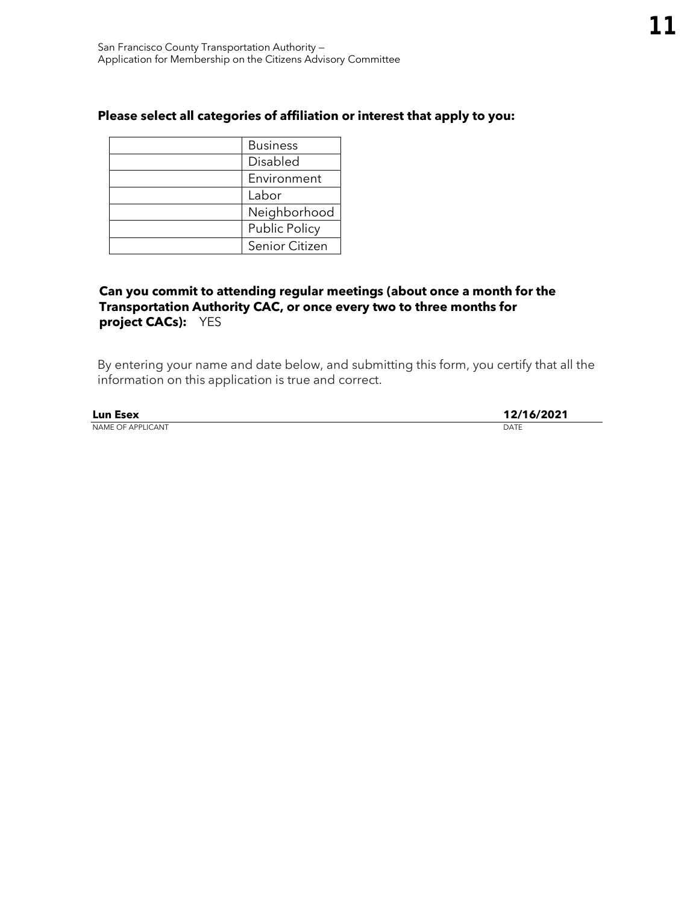| <b>Business</b>      |
|----------------------|
| Disabled             |
| Environment          |
| Labor                |
| Neighborhood         |
| <b>Public Policy</b> |
| Senior Citizen       |

## **Can you commit to attending regular meetings (about once a month for the Transportation Authority CAC, or once every two to three months for project CACs):** YES

| <b>Lun Esex</b>   | 12/16/2021 |
|-------------------|------------|
| NAME OF APPLICANT | DATE       |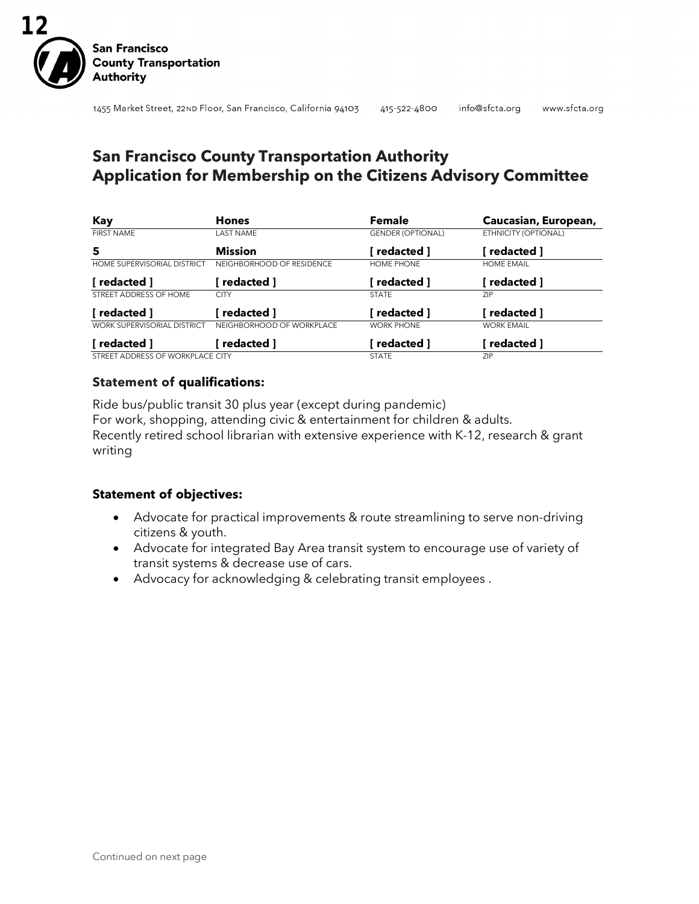

## **San Francisco County Transportation Authority Application for Membership on the Citizens Advisory Committee**

| Kay                                | <b>Hones</b>              | Female                   | Caucasian, European, |
|------------------------------------|---------------------------|--------------------------|----------------------|
| <b>FIRST NAME</b>                  | <b>LAST NAME</b>          | <b>GENDER (OPTIONAL)</b> | ETHNICITY (OPTIONAL) |
| 5                                  | <b>Mission</b>            | redacted 1               | redacted ]           |
| <b>HOME SUPERVISORIAL DISTRICT</b> | NEIGHBORHOOD OF RESIDENCE | HOME PHONE               | <b>HOME EMAIL</b>    |
| redacted 1                         | redacted ]                | redacted ]               | redacted ]           |
| STREET ADDRESS OF HOME             | <b>CITY</b>               | <b>STATE</b>             | <b>ZIP</b>           |
| redacted 1                         | redacted 1                | redacted 1               | redacted ]           |
| <b>WORK SUPERVISORIAL DISTRICT</b> | NEIGHBORHOOD OF WORKPLACE | <b>WORK PHONE</b>        | <b>WORK EMAIL</b>    |
| redacted 1                         | redacted ]                | redacted 1               | redacted ]           |
| STREET ADDRESS OF WORKPLACE CITY   |                           | <b>STATE</b>             | <b>ZIP</b>           |

### **Statement of qualifications:**

Ride bus/public transit 30 plus year (except during pandemic) For work, shopping, attending civic & entertainment for children & adults. Recently retired school librarian with extensive experience with K-12, research & grant writing

## **Statement of objectives:**

- Advocate for practical improvements & route streamlining to serve non-driving citizens & youth.
- Advocate for integrated Bay Area transit system to encourage use of variety of transit systems & decrease use of cars.
- Advocacy for acknowledging & celebrating transit employees .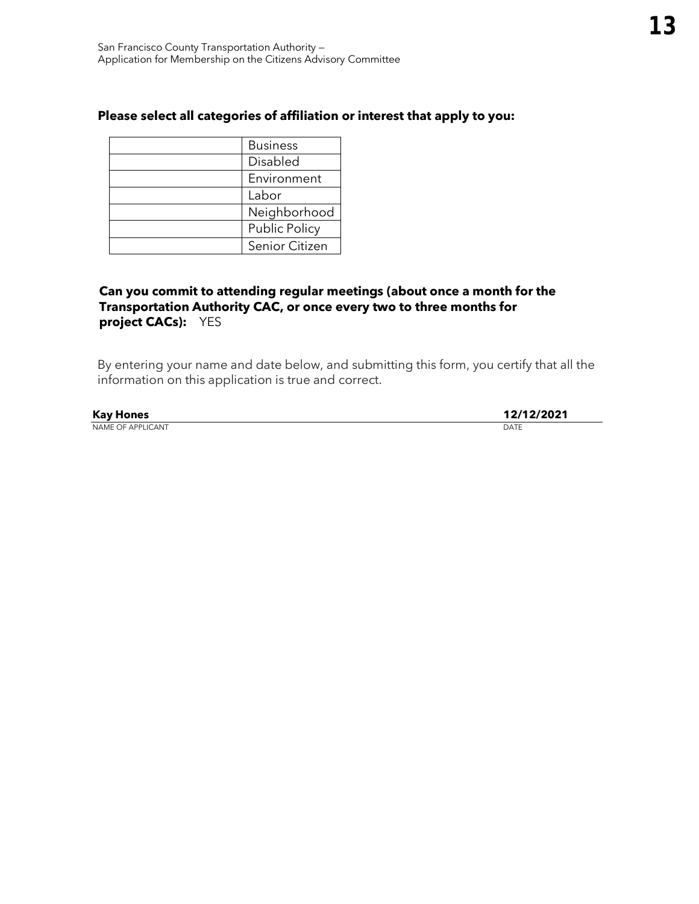| <b>Business</b>      |
|----------------------|
| Disabled             |
| Environment          |
| Labor                |
| Neighborhood         |
| <b>Public Policy</b> |
| Senior Citizen       |

## **Can you commit to attending regular meetings (about once a month for the Transportation Authority CAC, or once every two to three months for project CACs):** YES

| <b>Kay Hones</b>         | 12/12/2021 |
|--------------------------|------------|
| <b>NAME OF APPLICANT</b> | DATE       |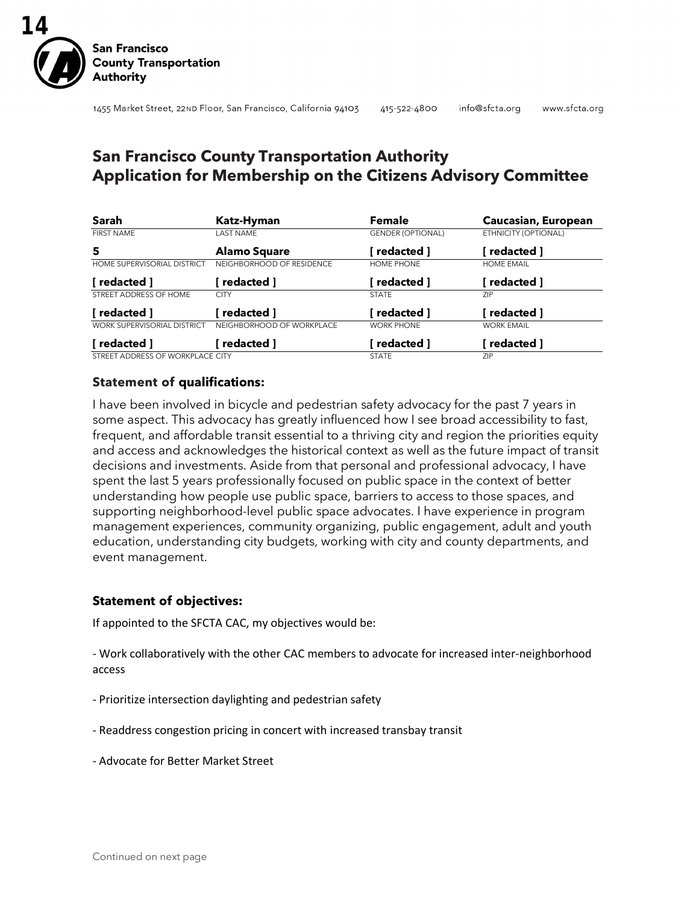

## **San Francisco County Transportation Authority Application for Membership on the Citizens Advisory Committee**

| Sarah                              | Katz-Hyman                | <b>Female</b>            | Caucasian, European  |
|------------------------------------|---------------------------|--------------------------|----------------------|
| <b>FIRST NAME</b>                  | LAST NAME                 | <b>GENDER (OPTIONAL)</b> | ETHNICITY (OPTIONAL) |
| 5                                  | <b>Alamo Square</b>       | redacted ]               | redacted ]           |
| <b>HOME SUPERVISORIAL DISTRICT</b> | NEIGHBORHOOD OF RESIDENCE | HOME PHONE               | <b>HOME EMAIL</b>    |
| [ redacted ]                       | redacted ]                | [ redacted ]             | redacted ]           |
| STREET ADDRESS OF HOME             | <b>CITY</b>               | <b>STATE</b>             | <b>ZIP</b>           |
| [ redacted ]                       | redacted 1                | redacted ]               | redacted ]           |
| <b>WORK SUPERVISORIAL DISTRICT</b> | NEIGHBORHOOD OF WORKPLACE | <b>WORK PHONE</b>        | <b>WORK EMAIL</b>    |
| [ redacted ]                       | redacted ]                | redacted ]               | redacted ]           |
| STREET ADDRESS OF WORKPLACE CITY   |                           | <b>STATE</b>             | ZIP.                 |

## **Statement of qualifications:**

I have been involved in bicycle and pedestrian safety advocacy for the past 7 years in some aspect. This advocacy has greatly influenced how I see broad accessibility to fast, frequent, and affordable transit essential to a thriving city and region the priorities equity and access and acknowledges the historical context as well as the future impact of transit decisions and investments. Aside from that personal and professional advocacy, I have spent the last 5 years professionally focused on public space in the context of better understanding how people use public space, barriers to access to those spaces, and supporting neighborhood-level public space advocates. I have experience in program management experiences, community organizing, public engagement, adult and youth education, understanding city budgets, working with city and county departments, and event management.

## **Statement of objectives:**

If appointed to the SFCTA CAC, my objectives would be:

- Work collaboratively with the other CAC members to advocate for increased inter-neighborhood access

- Prioritize intersection daylighting and pedestrian safety
- Readdress congestion pricing in concert with increased transbay transit
- Advocate for Better Market Street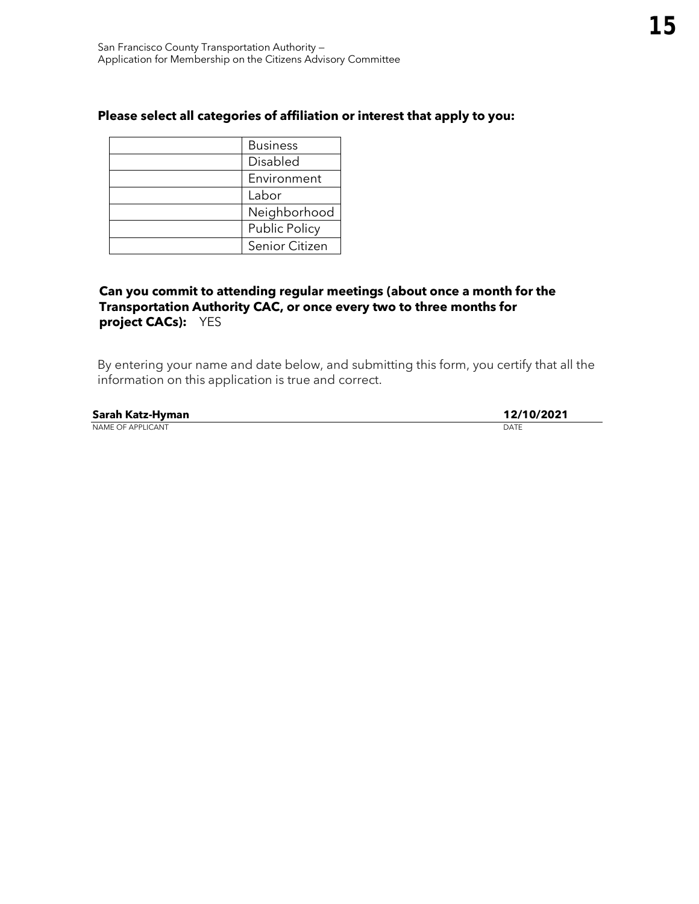| <b>Business</b>      |
|----------------------|
| Disabled             |
| Environment          |
| Labor                |
| Neighborhood         |
| <b>Public Policy</b> |
| Senior Citizen       |

## **Can you commit to attending regular meetings (about once a month for the Transportation Authority CAC, or once every two to three months for project CACs):** YES

| Sarah Katz-Hyman         | 12/10/2021 |
|--------------------------|------------|
| <b>NAME OF APPLICANT</b> | DATE       |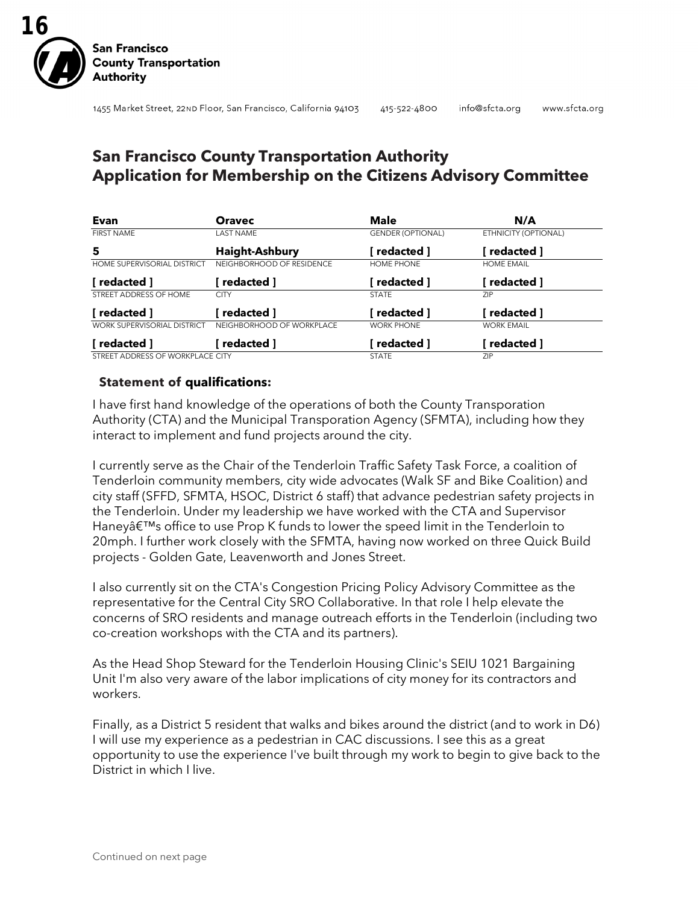

## **San Francisco County Transportation Authority Application for Membership on the Citizens Advisory Committee**

| Evan                               | <b>Oravec</b>             | <b>Male</b>              | N/A                  |
|------------------------------------|---------------------------|--------------------------|----------------------|
| <b>FIRST NAME</b>                  | <b>LAST NAME</b>          | <b>GENDER (OPTIONAL)</b> | ETHNICITY (OPTIONAL) |
| 5                                  | <b>Haight-Ashbury</b>     | redacted 1               | redacted ]           |
| HOME SUPERVISORIAL DISTRICT        | NEIGHBORHOOD OF RESIDENCE | HOME PHONE               | <b>HOME EMAIL</b>    |
| [ redacted ]                       | redacted 1                | redacted ]               | redacted ]           |
| STREET ADDRESS OF HOME             | <b>CITY</b>               | <b>STATE</b>             | ZIP                  |
| [ redacted ]                       | redacted 1                | redacted ]               | redacted ]           |
| <b>WORK SUPERVISORIAL DISTRICT</b> | NEIGHBORHOOD OF WORKPLACE | <b>WORK PHONE</b>        | <b>WORK EMAIL</b>    |
| [ redacted ]                       | redacted ]                | redacted ]               | redacted ]           |
| STREET ADDRESS OF WORKPLACE CITY   |                           | <b>STATE</b>             | ZIP                  |

**Statement of qualifications:**

I have first hand knowledge of the operations of both the County Transporation Authority (CTA) and the Municipal Transporation Agency (SFMTA), including how they interact to implement and fund projects around the city.

I currently serve as the Chair of the Tenderloin Traffic Safety Task Force, a coalition of Tenderloin community members, city wide advocates (Walk SF and Bike Coalition) and city staff (SFFD, SFMTA, HSOC, District 6 staff) that advance pedestrian safety projects in the Tenderloin. Under my leadership we have worked with the CTA and Supervisor Haney's office to use Prop K funds to lower the speed limit in the Tenderloin to 20mph. I further work closely with the SFMTA, having now worked on three Quick Build projects - Golden Gate, Leavenworth and Jones Street.

I also currently sit on the CTA's Congestion Pricing Policy Advisory Committee as the representative for the Central City SRO Collaborative. In that role I help elevate the concerns of SRO residents and manage outreach efforts in the Tenderloin (including two co-creation workshops with the CTA and its partners).

As the Head Shop Steward for the Tenderloin Housing Clinic's SEIU 1021 Bargaining Unit I'm also very aware of the labor implications of city money for its contractors and workers.

Finally, as a District 5 resident that walks and bikes around the district (and to work in D6) I will use my experience as a pedestrian in CAC discussions. I see this as a great opportunity to use the experience I've built through my work to begin to give back to the District in which I live.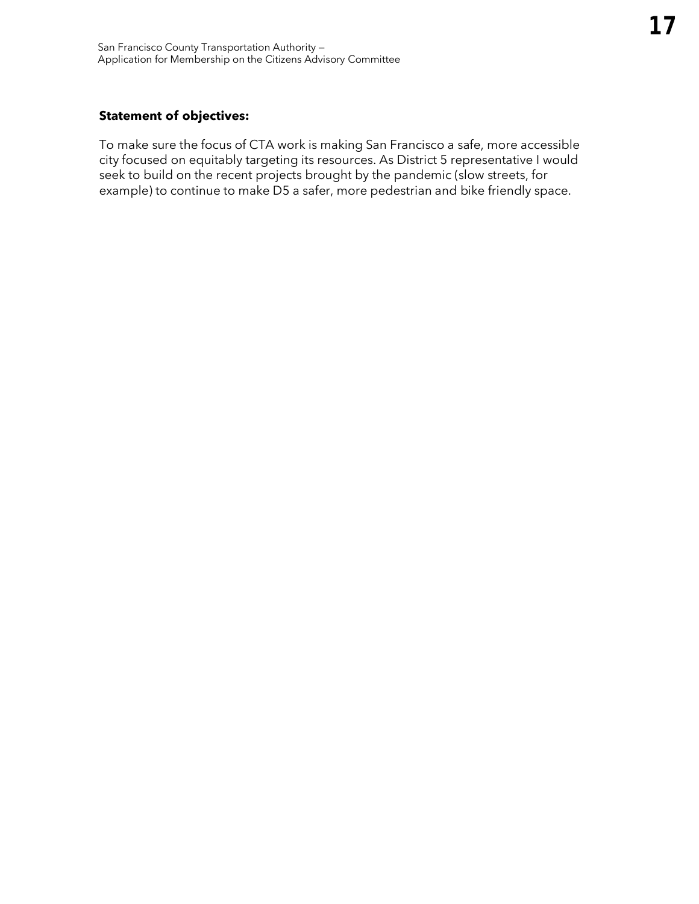## **Statement of objectives:**

To make sure the focus of CTA work is making San Francisco a safe, more accessible city focused on equitably targeting its resources. As District 5 representative I would seek to build on the recent projects brought by the pandemic (slow streets, for example) to continue to make D5 a safer, more pedestrian and bike friendly space.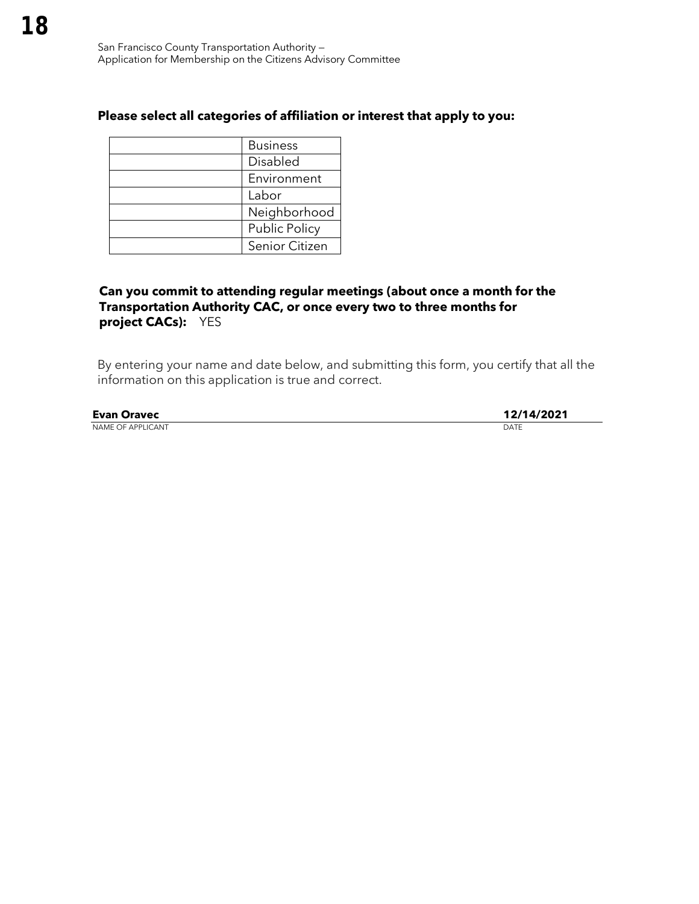| <b>Business</b>      |
|----------------------|
| Disabled             |
| Environment          |
| Labor                |
| Neighborhood         |
| <b>Public Policy</b> |
| Senior Citizen       |

## **Can you commit to attending regular meetings (about once a month for the Transportation Authority CAC, or once every two to three months for project CACs):** YES

| <b>Evan Oravec</b>       | 12/14/2021 |
|--------------------------|------------|
| <b>NAME OF APPLICANT</b> | DATE       |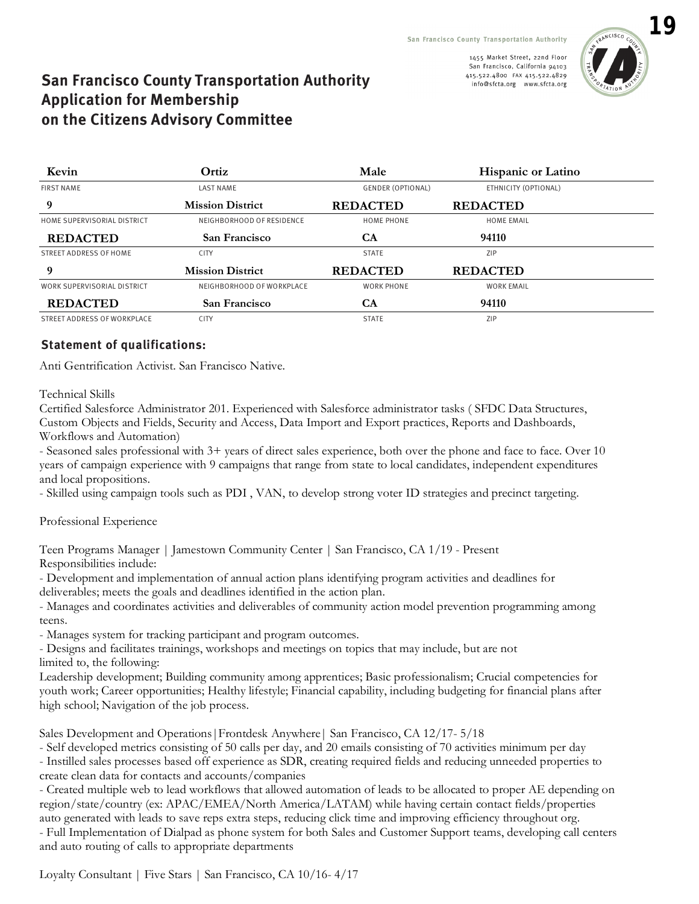

## **San Francisco County Transportation Authority Application for Membership on the Citizens Advisory Committee**

| Kevin                       | Ortiz                     | Male                     | <b>Hispanic or Latino</b> |  |
|-----------------------------|---------------------------|--------------------------|---------------------------|--|
| <b>FIRST NAME</b>           | <b>LAST NAME</b>          | <b>GENDER (OPTIONAL)</b> | ETHNICITY (OPTIONAL)      |  |
| 9                           | <b>Mission District</b>   | <b>REDACTED</b>          | <b>REDACTED</b>           |  |
| HOME SUPERVISORIAL DISTRICT | NEIGHBORHOOD OF RESIDENCE | <b>HOME PHONE</b>        | <b>HOME EMAIL</b>         |  |
| <b>REDACTED</b>             | San Francisco             | <b>CA</b>                | 94110                     |  |
| STREET ADDRESS OF HOME      | <b>CITY</b>               | <b>STATE</b>             | <b>ZIP</b>                |  |
| 9                           | <b>Mission District</b>   | <b>REDACTED</b>          | <b>REDACTED</b>           |  |
| WORK SUPERVISORIAL DISTRICT | NEIGHBORHOOD OF WORKPLACE | <b>WORK PHONE</b>        | <b>WORK EMAIL</b>         |  |
| <b>REDACTED</b>             | San Francisco             | CA                       | 94110                     |  |
| STREET ADDRESS OF WORKPLACE | <b>CITY</b>               | <b>STATE</b>             | <b>ZIP</b>                |  |

## **Statement of qualifications:**

Anti Gentrification Activist. San Francisco Native.

Technical Skills

Certified Salesforce Administrator 201. Experienced with Salesforce administrator tasks ( SFDC Data Structures, Custom Objects and Fields, Security and Access, Data Import and Export practices, Reports and Dashboards, Workflows and Automation)

- Seasoned sales professional with 3+ years of direct sales experience, both over the phone and face to face. Over 10 years of campaign experience with 9 campaigns that range from state to local candidates, independent expenditures and local propositions.

- Skilled using campaign tools such as PDI , VAN, to develop strong voter ID strategies and precinct targeting.

Professional Experience

Teen Programs Manager | Jamestown Community Center | San Francisco, CA 1/19 - Present Responsibilities include:

- Development and implementation of annual action plans identifying program activities and deadlines for deliverables; meets the goals and deadlines identified in the action plan.

- Manages and coordinates activities and deliverables of community action model prevention programming among teens.

- Manages system for tracking participant and program outcomes.

- Designs and facilitates trainings, workshops and meetings on topics that may include, but are not limited to, the following:

Leadership development; Building community among apprentices; Basic professionalism; Crucial competencies for youth work; Career opportunities; Healthy lifestyle; Financial capability, including budgeting for financial plans after high school; Navigation of the job process.

Sales Development and Operations|Frontdesk Anywhere| San Francisco, CA 12/17- 5/18

- Self developed metrics consisting of 50 calls per day, and 20 emails consisting of 70 activities minimum per day - Instilled sales processes based off experience as SDR, creating required fields and reducing unneeded properties to

create clean data for contacts and accounts/companies

- Created multiple web to lead workflows that allowed automation of leads to be allocated to proper AE depending on region/state/country (ex: APAC/EMEA/North America/LATAM) while having certain contact fields/properties auto generated with leads to save reps extra steps, reducing click time and improving efficiency throughout org. - Full Implementation of Dialpad as phone system for both Sales and Customer Support teams, developing call centers and auto routing of calls to appropriate departments

Loyalty Consultant | Five Stars | San Francisco, CA 10/16- 4/17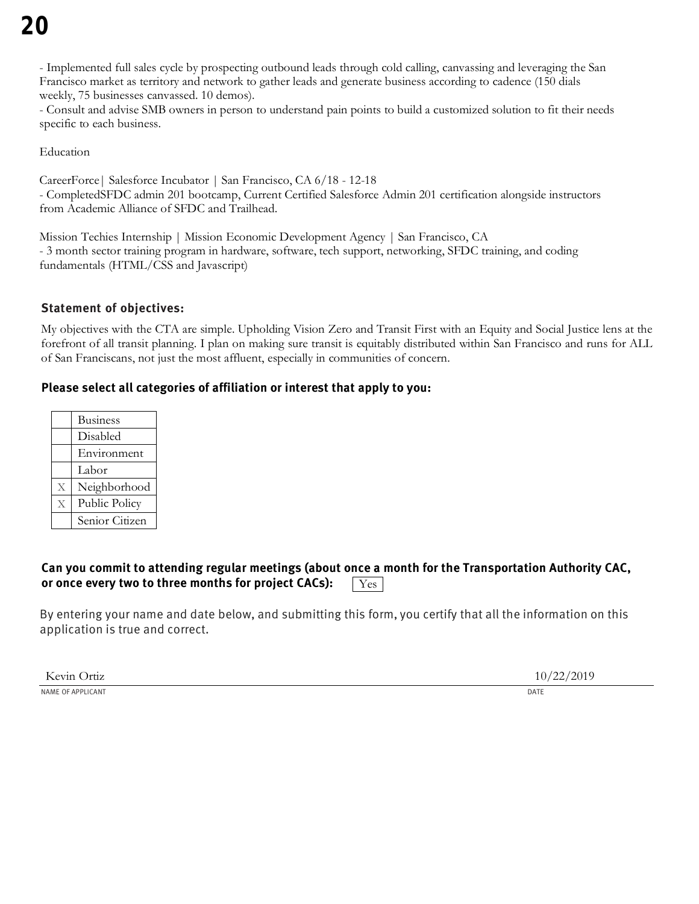- Implemented full sales cycle by prospecting outbound leads through cold calling, canvassing and leveraging the San Francisco market as territory and network to gather leads and generate business according to cadence (150 dials weekly, 75 businesses canvassed. 10 demos).

- Consult and advise SMB owners in person to understand pain points to build a customized solution to fit their needs specific to each business.

Education

CareerForce| Salesforce Incubator | San Francisco, CA 6/18 - 12-18 - CompletedSFDC admin 201 bootcamp, Current Certified Salesforce Admin 201 certification alongside instructors from Academic Alliance of SFDC and Trailhead.

Mission Techies Internship | Mission Economic Development Agency | San Francisco, CA - 3 month sector training program in hardware, software, tech support, networking, SFDC training, and coding fundamentals (HTML/CSS and Javascript)

## **Statement of objectives:**

My objectives with the CTA are simple. Upholding Vision Zero and Transit First with an Equity and Social Justice lens at the forefront of all transit planning. I plan on making sure transit is equitably distributed within San Francisco and runs for ALL of San Franciscans, not just the most affluent, especially in communities of concern.

## **Please select all categories of affiliation or interest that apply to you:**

|                | <b>Business</b> |
|----------------|-----------------|
|                | Disabled        |
|                | Environment     |
|                | Labor           |
| $\overline{X}$ | Neighborhood    |
| $\overline{X}$ | Public Policy   |
|                | Senior Citizen  |

#### **Can you commit to attending regular meetings (about once a month for the Transportation Authority CAC, or once every two to three months for project CACs):**  Yes

By entering your name and date below, and submitting this form, you certify that all the information on this application is true and correct.

Kevin Ortiz  $10/22/2019$ NAME OF APPLICANT **DATE**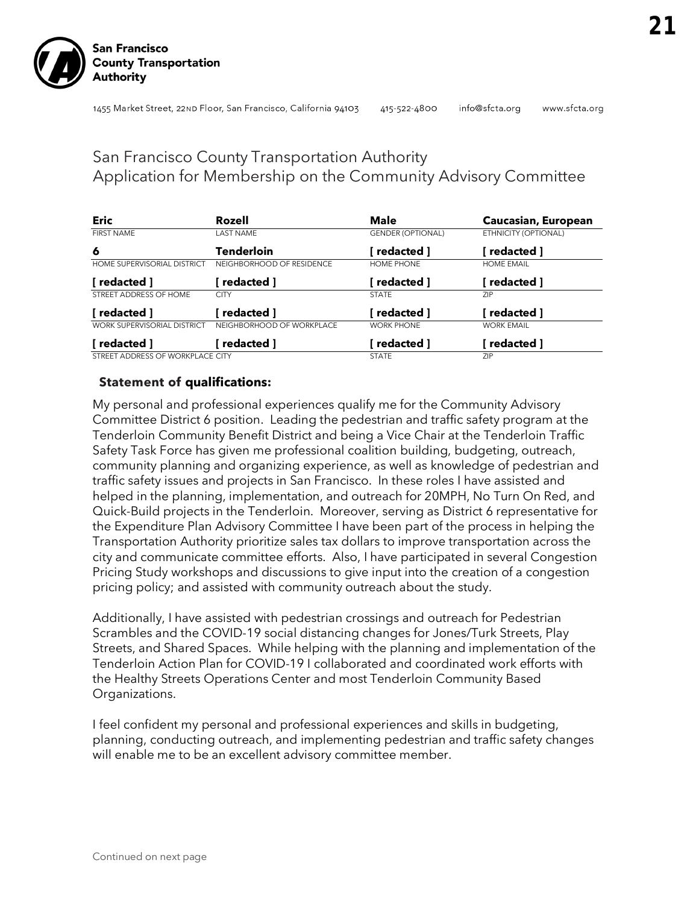info@sfcta.org

### www.sfcta.org

## San Francisco County Transportation Authority Application for Membership on the Community Advisory Committee

| <b>Eric</b>                        | Rozell                    | <b>Male</b>              | Caucasian, European  |
|------------------------------------|---------------------------|--------------------------|----------------------|
| <b>FIRST NAME</b>                  | <b>LAST NAME</b>          | <b>GENDER (OPTIONAL)</b> | ETHNICITY (OPTIONAL) |
| 6                                  | Tenderloin                | i redacted 1             | redacted ]           |
| HOME SUPERVISORIAL DISTRICT        | NEIGHBORHOOD OF RESIDENCE | HOME PHONE               | <b>HOME EMAIL</b>    |
| [ redacted ]                       | redacted ]                | [ redacted ]             | redacted ]           |
| STREET ADDRESS OF HOME             | <b>CITY</b>               | <b>STATE</b>             | <b>ZIP</b>           |
| [ redacted ]                       | redacted 1                | redacted 1               | redacted ]           |
| <b>WORK SUPERVISORIAL DISTRICT</b> | NEIGHBORHOOD OF WORKPLACE | <b>WORK PHONE</b>        | <b>WORK EMAIL</b>    |
| redacted ]                         | redacted ]                | redacted ]               | redacted ]           |
| STREET ADDRESS OF WORKPLACE CITY   |                           | <b>STATE</b>             | <b>ZIP</b>           |

## **Statement of qualifications:**

My personal and professional experiences qualify me for the Community Advisory Committee District 6 position. Leading the pedestrian and traffic safety program at the Tenderloin Community Benefit District and being a Vice Chair at the Tenderloin Traffic Safety Task Force has given me professional coalition building, budgeting, outreach, community planning and organizing experience, as well as knowledge of pedestrian and traffic safety issues and projects in San Francisco. In these roles I have assisted and helped in the planning, implementation, and outreach for 20MPH, No Turn On Red, and Quick-Build projects in the Tenderloin. Moreover, serving as District 6 representative for the Expenditure Plan Advisory Committee I have been part of the process in helping the Transportation Authority prioritize sales tax dollars to improve transportation across the city and communicate committee efforts. Also, I have participated in several Congestion Pricing Study workshops and discussions to give input into the creation of a congestion pricing policy; and assisted with community outreach about the study.

Additionally, I have assisted with pedestrian crossings and outreach for Pedestrian Scrambles and the COVID-19 social distancing changes for Jones/Turk Streets, Play Streets, and Shared Spaces. While helping with the planning and implementation of the Tenderloin Action Plan for COVID-19 I collaborated and coordinated work efforts with the Healthy Streets Operations Center and most Tenderloin Community Based Organizations.

I feel confident my personal and professional experiences and skills in budgeting, planning, conducting outreach, and implementing pedestrian and traffic safety changes will enable me to be an excellent advisory committee member.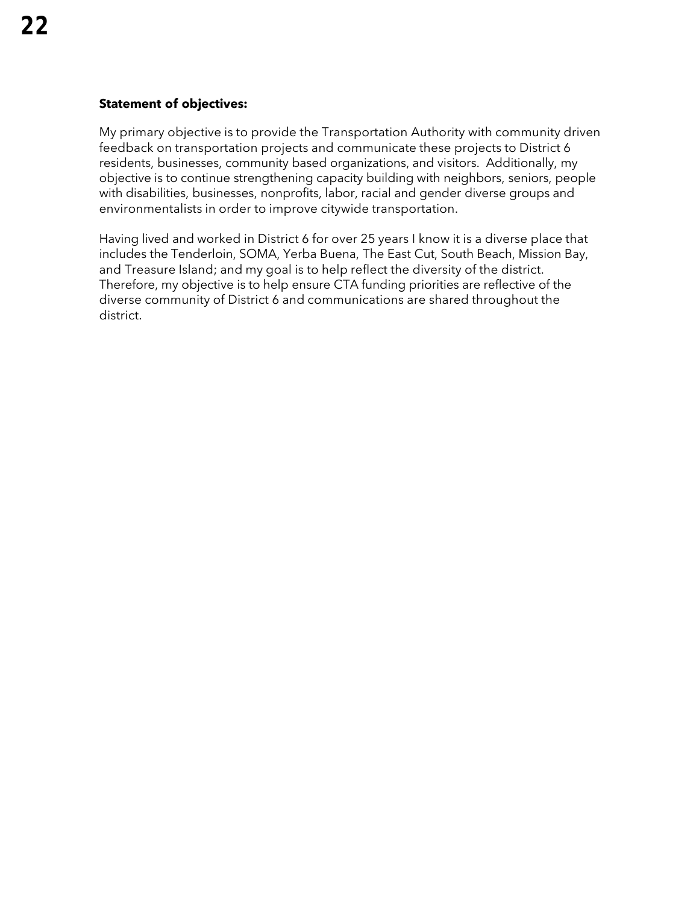## **Statement of objectives:**

My primary objective is to provide the Transportation Authority with community driven feedback on transportation projects and communicate these projects to District 6 residents, businesses, community based organizations, and visitors. Additionally, my objective is to continue strengthening capacity building with neighbors, seniors, people with disabilities, businesses, nonprofits, labor, racial and gender diverse groups and environmentalists in order to improve citywide transportation.

Having lived and worked in District 6 for over 25 years I know it is a diverse place that includes the Tenderloin, SOMA, Yerba Buena, The East Cut, South Beach, Mission Bay, and Treasure Island; and my goal is to help reflect the diversity of the district. Therefore, my objective is to help ensure CTA funding priorities are reflective of the diverse community of District 6 and communications are shared throughout the district.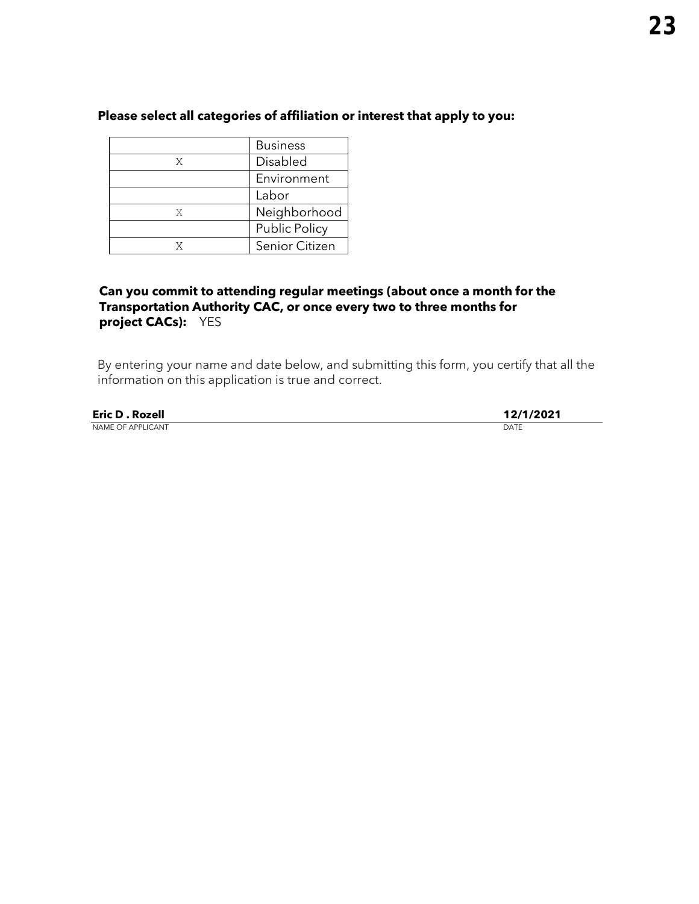|   | <b>Business</b>      |  |
|---|----------------------|--|
| X | Disabled             |  |
|   | Environment          |  |
|   | Labor                |  |
| X | Neighborhood         |  |
|   | <b>Public Policy</b> |  |
|   | Senior Citizen       |  |

## **Can you commit to attending regular meetings (about once a month for the Transportation Authority CAC, or once every two to three months for project CACs):** YES

| <b>Eric D. Rozell</b> | 12/1/2021 |
|-----------------------|-----------|
| NAME OF APPLICANT     | DATE      |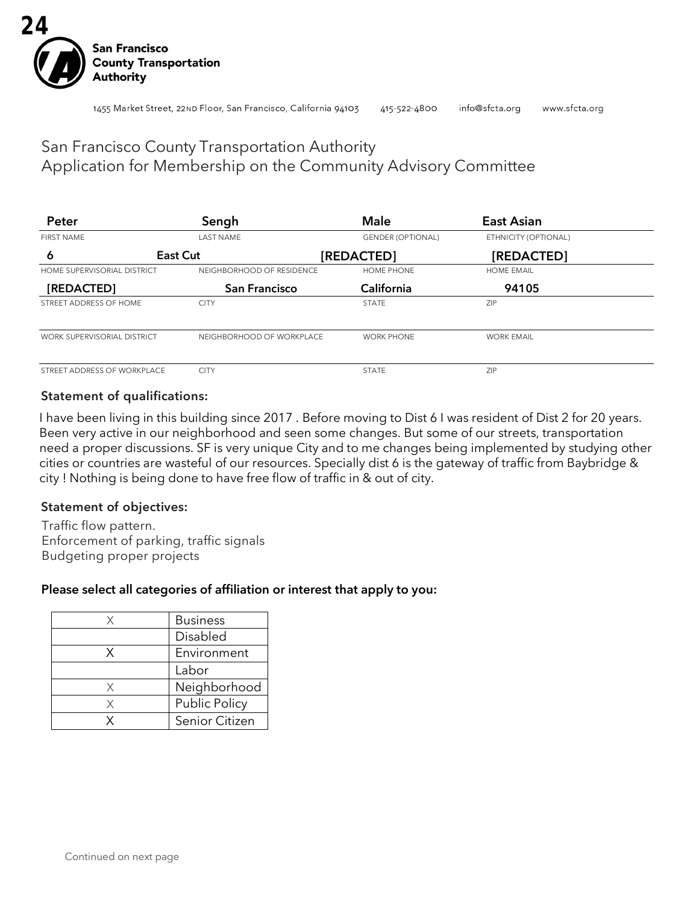

## San Francisco County Transportation Authority Application for Membership on the Community Advisory Committee

| Peter                       | Sengh                     | <b>Male</b>              | <b>East Asian</b>    |  |
|-----------------------------|---------------------------|--------------------------|----------------------|--|
| <b>FIRST NAME</b>           | <b>LAST NAME</b>          | <b>GENDER (OPTIONAL)</b> | ETHNICITY (OPTIONAL) |  |
| 6                           | East Cut                  | [REDACTED]               |                      |  |
| HOME SUPERVISORIAL DISTRICT | NEIGHBORHOOD OF RESIDENCE | <b>HOME PHONE</b>        | <b>HOME EMAIL</b>    |  |
| [REDACTED]                  | <b>San Francisco</b>      | California               | 94105                |  |
| STREET ADDRESS OF HOME      | <b>CITY</b>               | <b>STATE</b>             | ZIP                  |  |
| WORK SUPERVISORIAL DISTRICT | NEIGHBORHOOD OF WORKPLACE | <b>WORK PHONE</b>        | <b>WORK EMAIL</b>    |  |
| STREET ADDRESS OF WORKPLACE | <b>CITY</b>               | <b>STATE</b>             | ZIP                  |  |

## Statement of qualifications:

I have been living in this building since 2017 . Before moving to Dist 6 I was resident of Dist 2 for 20 years. Been very active in our neighborhood and seen some changes. But some of our streets, transportation need a proper discussions. SF is very unique City and to me changes being implemented by studying other cities or countries are wasteful of our resources. Specially dist 6 is the gateway of traffic from Baybridge & city ! Nothing is being done to have free flow of traffic in & out of city.

### Statement of objectives:

Traffic flow pattern. Enforcement of parking, traffic signals Budgeting proper projects

### Please select all categories of affiliation or interest that apply to you:

|   | <b>Business</b> |
|---|-----------------|
|   | Disabled        |
| X | Environment     |
|   | Labor           |
| X | Neighborhood    |
| X | Public Policy   |
|   | Senior Citizen  |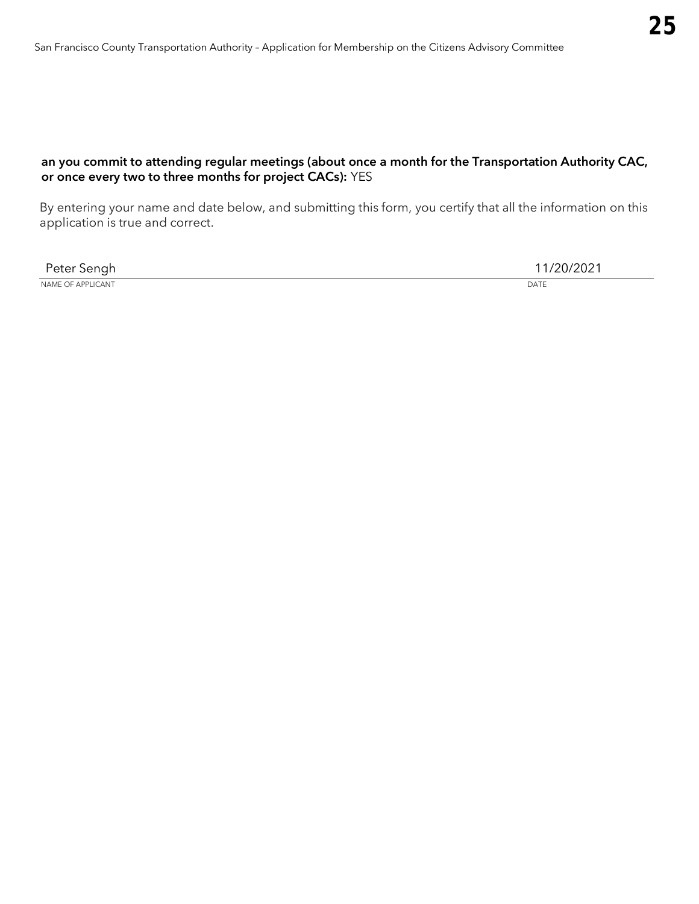## an you commit to attending regular meetings (about once a month for the Transportation Authority CAC, or once every two to three months for project CACs): YES

| $\sim$ $\sim$ $\sim$ $\sim$<br>$ -$<br>ווםר | $\sim$<br>the contract of the contract of the contract of |
|---------------------------------------------|-----------------------------------------------------------|
| NAME OF APPLICANT                           | <b>DATE</b>                                               |
|                                             |                                                           |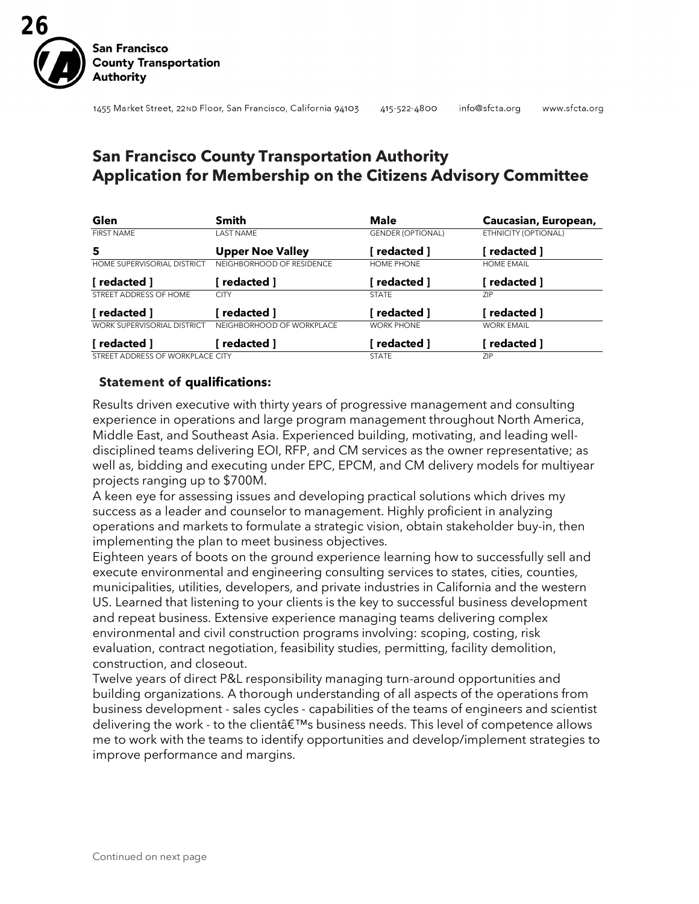

## **San Francisco County Transportation Authority Application for Membership on the Citizens Advisory Committee**

| Glen                               | <b>Smith</b>              | <b>Male</b>              | Caucasian, European, |
|------------------------------------|---------------------------|--------------------------|----------------------|
| <b>FIRST NAME</b>                  | <b>LAST NAME</b>          | <b>GENDER (OPTIONAL)</b> | ETHNICITY (OPTIONAL) |
| 5                                  | <b>Upper Noe Valley</b>   | redacted ]               | redacted ]           |
| HOME SUPERVISORIAL DISTRICT        | NEIGHBORHOOD OF RESIDENCE | HOME PHONE               | <b>HOME EMAIL</b>    |
| [ redacted ]                       | redacted 1                | redacted 1               | redacted ]           |
| STREET ADDRESS OF HOME             | <b>CITY</b>               | <b>STATE</b>             | <b>ZIP</b>           |
| [ redacted ]                       | redacted 1                | redacted 1               | redacted ]           |
| <b>WORK SUPERVISORIAL DISTRICT</b> | NEIGHBORHOOD OF WORKPLACE | <b>WORK PHONE</b>        | <b>WORK EMAIL</b>    |
| 「redacted 1                        | redacted 1                | redacted 1               | redacted ]           |
| STREET ADDRESS OF WORKPLACE CITY   |                           | <b>STATE</b>             | ZIP.                 |

### **Statement of qualifications:**

Results driven executive with thirty years of progressive management and consulting experience in operations and large program management throughout North America, Middle East, and Southeast Asia. Experienced building, motivating, and leading welldisciplined teams delivering EOI, RFP, and CM services as the owner representative; as well as, bidding and executing under EPC, EPCM, and CM delivery models for multiyear projects ranging up to \$700M.

A keen eye for assessing issues and developing practical solutions which drives my success as a leader and counselor to management. Highly proficient in analyzing operations and markets to formulate a strategic vision, obtain stakeholder buy-in, then implementing the plan to meet business objectives.

Eighteen years of boots on the ground experience learning how to successfully sell and execute environmental and engineering consulting services to states, cities, counties, municipalities, utilities, developers, and private industries in California and the western US. Learned that listening to your clients is the key to successful business development and repeat business. Extensive experience managing teams delivering complex environmental and civil construction programs involving: scoping, costing, risk evaluation, contract negotiation, feasibility studies, permitting, facility demolition, construction, and closeout.

Twelve years of direct P&L responsibility managing turn-around opportunities and building organizations. A thorough understanding of all aspects of the operations from business development - sales cycles - capabilities of the teams of engineers and scientist delivering the work - to the clientâ€<sup>™</sup>s business needs. This level of competence allows me to work with the teams to identify opportunities and develop/implement strategies to improve performance and margins.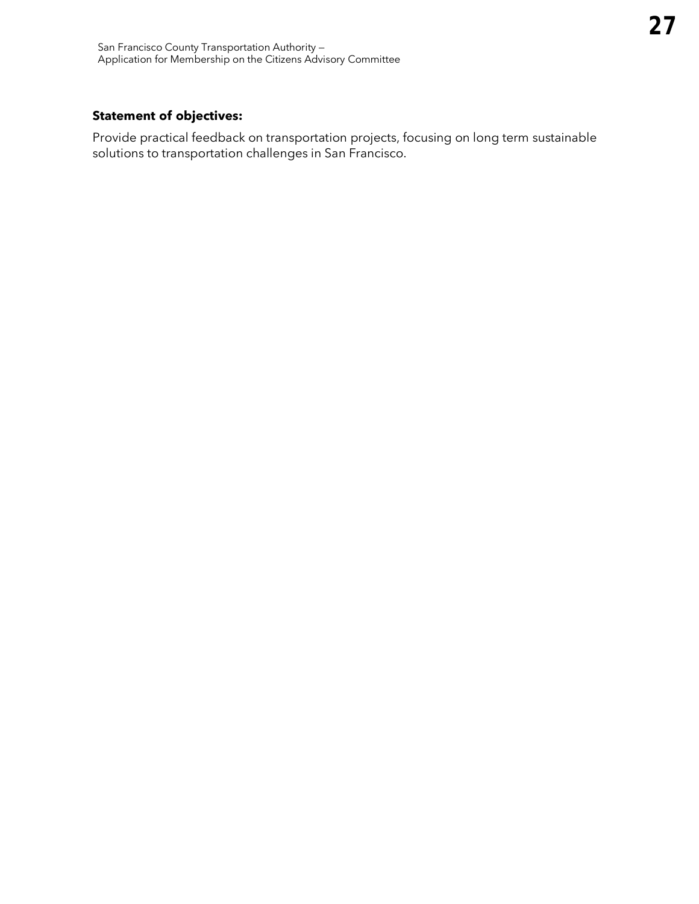## **Statement of objectives:**

Provide practical feedback on transportation projects, focusing on long term sustainable solutions to transportation challenges in San Francisco.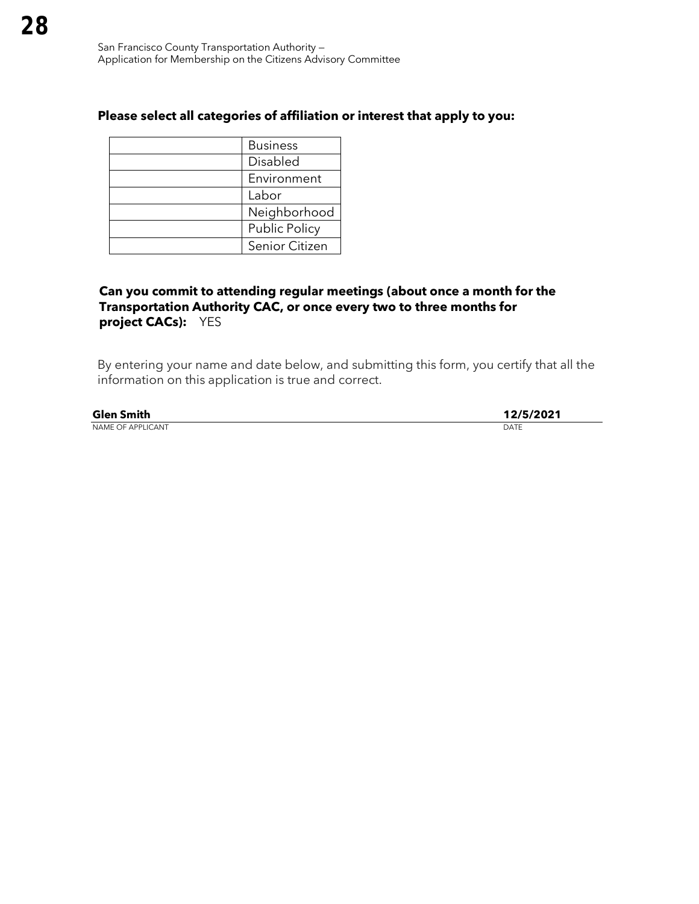| <b>Business</b>      |  |
|----------------------|--|
| Disabled             |  |
| Environment          |  |
| Labor                |  |
| Neighborhood         |  |
| <b>Public Policy</b> |  |
| Senior Citizen       |  |

## **Can you commit to attending regular meetings (about once a month for the Transportation Authority CAC, or once every two to three months for project CACs):** YES

| <b>Glen Smith</b>        | 12/5/2021 |
|--------------------------|-----------|
| <b>NAME OF APPLICANT</b> | DATE      |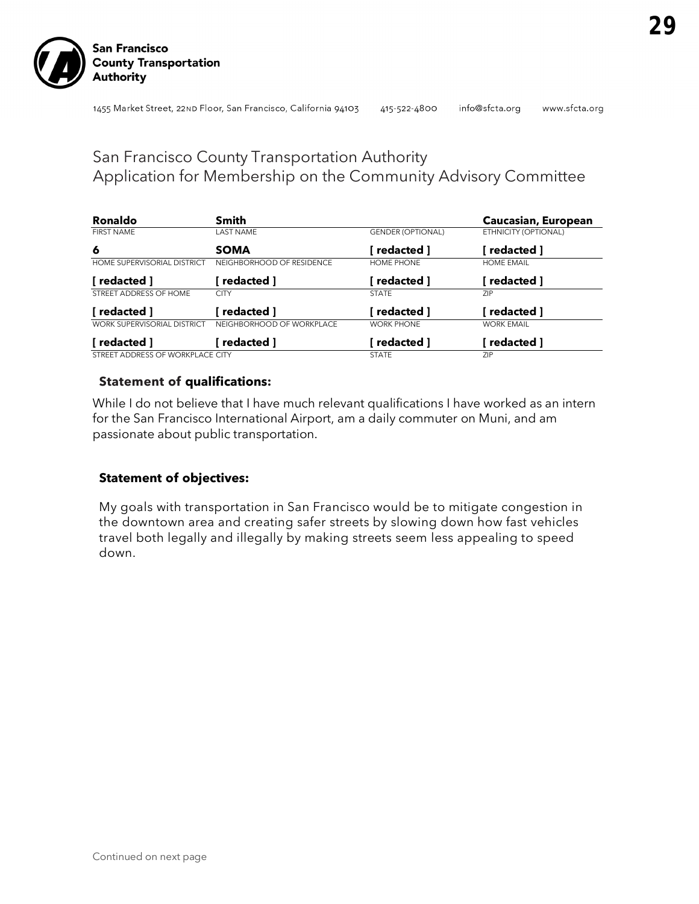info@sfcta.org www.sfcta.org

# San Francisco County Transportation Authority Application for Membership on the Community Advisory Committee

| Ronaldo                            | Smith                     |                          | Caucasian, European  |
|------------------------------------|---------------------------|--------------------------|----------------------|
| <b>FIRST NAME</b>                  | <b>LAST NAME</b>          | <b>GENDER (OPTIONAL)</b> | ETHNICITY (OPTIONAL) |
| 6                                  | <b>SOMA</b>               | redacted 1               | redacted 1           |
| HOME SUPERVISORIAL DISTRICT        | NEIGHBORHOOD OF RESIDENCE | HOME PHONE               | <b>HOME EMAIL</b>    |
| [ redacted ]                       | redacted ]                | redacted 1               | redacted ]           |
| STREET ADDRESS OF HOME             | <b>CITY</b>               | <b>STATE</b>             | <b>ZIP</b>           |
| [ redacted ]                       | redacted 1                | redacted ]               | redacted 1           |
| <b>WORK SUPERVISORIAL DISTRICT</b> | NEIGHBORHOOD OF WORKPLACE | <b>WORK PHONE</b>        | <b>WORK EMAIL</b>    |
| redacted 1                         | redacted ]                | redacted 1               | redacted ]           |
| STREET ADDRESS OF WORKPLACE CITY   |                           | <b>STATE</b>             | <b>ZIP</b>           |

## **Statement of qualifications:**

While I do not believe that I have much relevant qualifications I have worked as an intern for the San Francisco International Airport, am a daily commuter on Muni, and am passionate about public transportation.

## **Statement of objectives:**

My goals with transportation in San Francisco would be to mitigate congestion in the downtown area and creating safer streets by slowing down how fast vehicles travel both legally and illegally by making streets seem less appealing to speed down.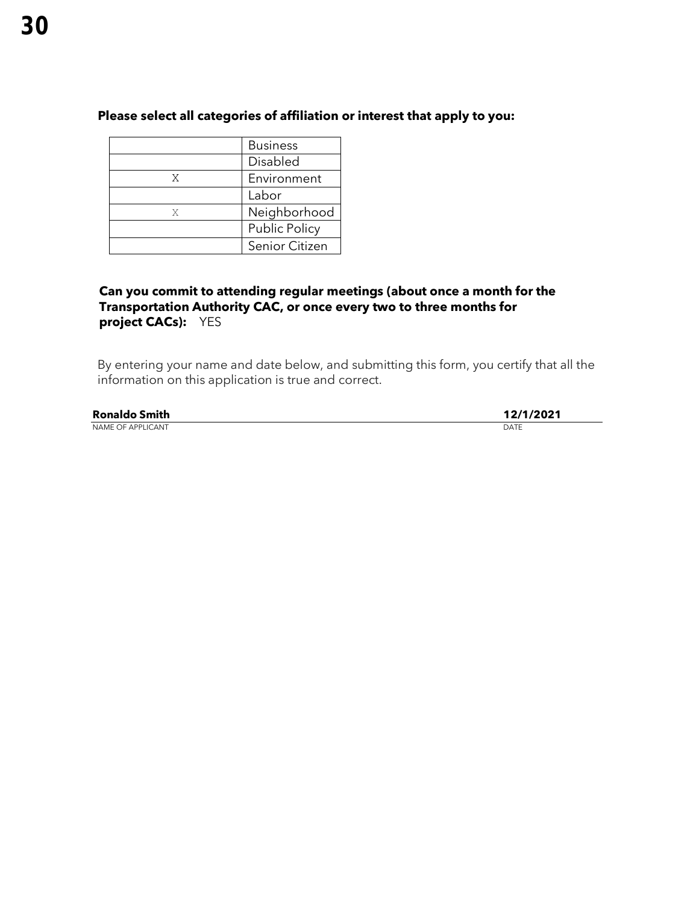|   | <b>Business</b>      |  |
|---|----------------------|--|
|   | Disabled             |  |
| X | Environment          |  |
|   | Labor                |  |
| X | Neighborhood         |  |
|   | <b>Public Policy</b> |  |
|   | Senior Citizen       |  |

## **Can you commit to attending regular meetings (about once a month for the Transportation Authority CAC, or once every two to three months for project CACs):** YES

| <b>Ronaldo Smith</b>     | 12/1/2021 |
|--------------------------|-----------|
| <b>NAME OF APPLICANT</b> | DATE      |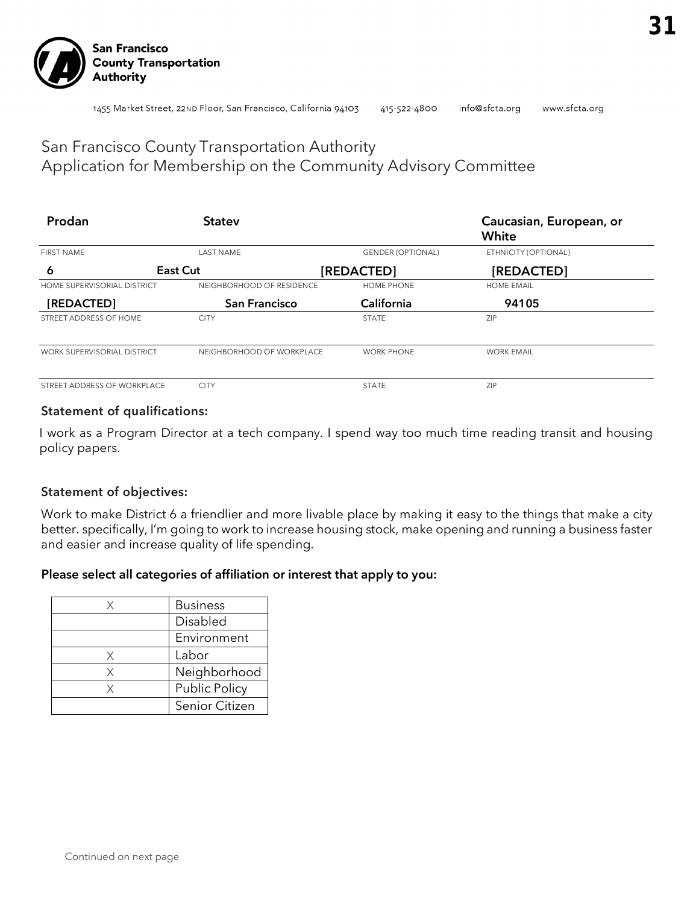

www.sfcta.org

#### 1455 Market Street, 22ND Floor, San Francisco, California 94103 415-522-4800 info@sfcta.org

## San Francisco County Transportation Authority Application for Membership on the Community Advisory Committee

| Prodan                             | <b>Statev</b>             |                          | Caucasian, European, or<br>White |
|------------------------------------|---------------------------|--------------------------|----------------------------------|
| <b>FIRST NAME</b>                  | <b>LAST NAME</b>          | <b>GENDER (OPTIONAL)</b> | ETHNICITY (OPTIONAL)             |
| 6                                  | East Cut                  | [REDACTED]               | [REDACTED]                       |
| <b>HOME SUPERVISORIAL DISTRICT</b> | NEIGHBORHOOD OF RESIDENCE | <b>HOME PHONE</b>        | <b>HOME EMAIL</b>                |
| [REDACTED]                         | <b>San Francisco</b>      | California               | 94105                            |
| STREET ADDRESS OF HOME             | <b>CITY</b>               | <b>STATE</b>             | ZIP                              |
| WORK SUPERVISORIAL DISTRICT        | NEIGHBORHOOD OF WORKPLACE | <b>WORK PHONE</b>        | <b>WORK EMAIL</b>                |
| STREET ADDRESS OF WORKPLACE        | <b>CITY</b>               | <b>STATE</b>             | ZIP                              |

### Statement of qualifications:

I work as a Program Director at a tech company. I spend way too much time reading transit and housing policy papers.

### Statement of objectives:

Work to make District 6 a friendlier and more livable place by making it easy to the things that make a city better. specifically, I'm going to work to increase housing stock, make opening and running a business faster and easier and increase quality of life spending.

### Please select all categories of affiliation or interest that apply to you:

|   | <b>Business</b> |
|---|-----------------|
|   | Disabled        |
|   | Environment     |
| X | Labor           |
| X | Neighborhood    |
| Χ | Public Policy   |
|   | Senior Citizen  |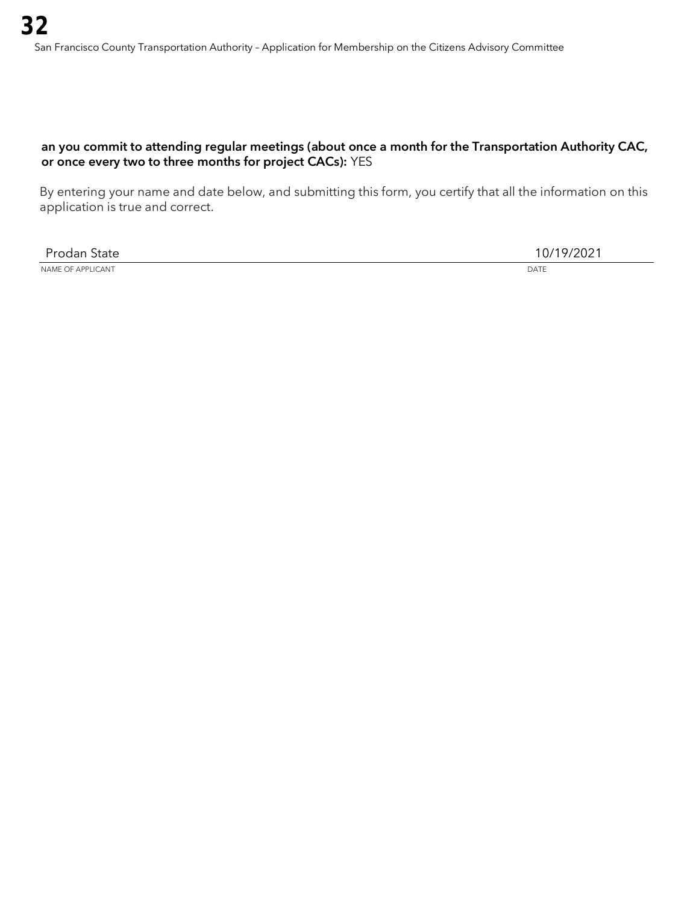## an you commit to attending regular meetings (about once a month for the Transportation Authority CAC, or once every two to three months for project CACs): YES

By entering your name and date below, and submitting this form, you certify that all the information on this application is true and correct.

Prodan State 10/19/2021

NAME OF APPLICANT DATE CONTROL CONTROL CONTROL CONTROL CONTROL CONTROL CONTROL CONTROL CONTROL CONTROL CONTROL CONTROL CONTROL CONTROL CONTROL CONTROL CONTROL CONTROL CONTROL CONTROL CONTROL CONTROL CONTROL CONTROL CONTROL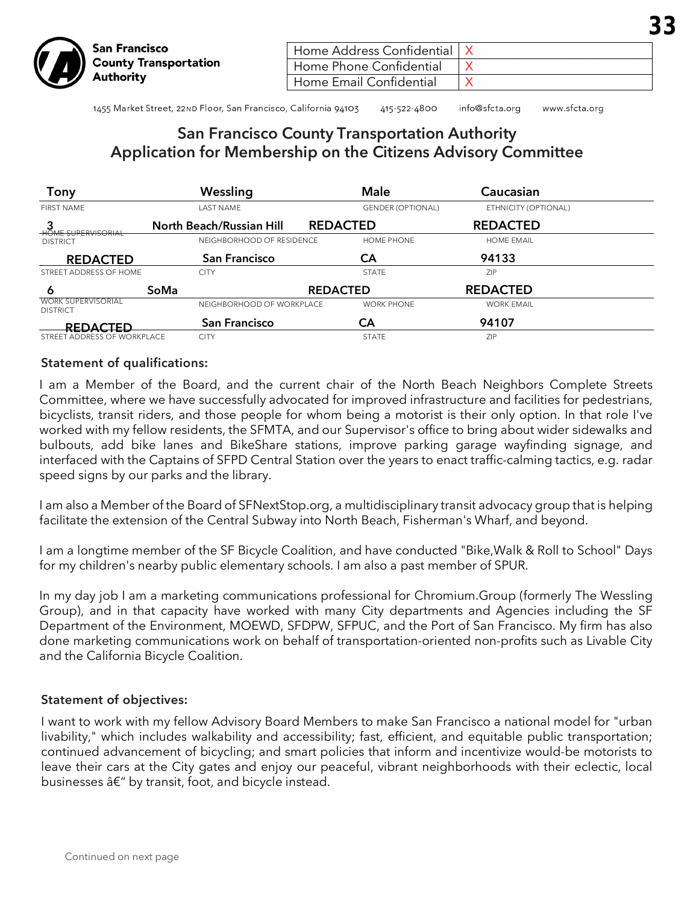| Home Address Confidential   X |  |
|-------------------------------|--|
| Home Phone Confidential       |  |
| Home Email Confidential       |  |
|                               |  |

1455 Market Street, 22ND Floor, San Francisco, California 94103 415-522-4800 info@sfcta.org www.sfcta.org

## San Francisco County Transportation Authority Application for Membership on the Citizens Advisory Committee

| Tony                                         | Wessling                        | <b>Male</b>              | Caucasian            |  |
|----------------------------------------------|---------------------------------|--------------------------|----------------------|--|
| <b>FIRST NAME</b>                            | <b>LAST NAME</b>                | <b>GENDER (OPTIONAL)</b> | ETHNICITY (OPTIONAL) |  |
| <b>HOME SUPERVISORIAL</b>                    | <b>North Beach/Russian Hill</b> | <b>REDACTED</b>          | <b>REDACTED</b>      |  |
| <b>DISTRICT</b>                              | NEIGHBORHOOD OF RESIDENCE       | <b>HOME PHONE</b>        | <b>HOME EMAIL</b>    |  |
| <b>REDACTED</b>                              | <b>San Francisco</b>            | CА                       | 94133                |  |
| STREET ADDRESS OF HOME                       | <b>CITY</b>                     | <b>STATE</b>             | <b>ZIP</b>           |  |
| 6                                            | SoMa                            | <b>REDACTED</b>          | <b>REDACTED</b>      |  |
| <b>WORK SUPERVISORIAL</b><br><b>DISTRICT</b> | NEIGHBORHOOD OF WORKPLACE       | <b>WORK PHONE</b>        | <b>WORK EMAIL</b>    |  |
| REDACTED                                     | <b>San Francisco</b>            | CА                       | 94107                |  |
| STREET ADDRESS OF WORKPLACE                  | <b>CITY</b>                     | <b>STATE</b>             | <b>ZIP</b>           |  |

### Statement of qualifications:

I am a Member of the Board, and the current chair of the North Beach Neighbors Complete Streets Committee, where we have successfully advocated for improved infrastructure and facilities for pedestrians, bicyclists, transit riders, and those people for whom being a motorist is their only option. In that role I've worked with my fellow residents, the SFMTA, and our Supervisor's office to bring about wider sidewalks and bulbouts, add bike lanes and BikeShare stations, improve parking garage wayfinding signage, and interfaced with the Captains of SFPD Central Station over the years to enact traffic-calming tactics, e.g. radar speed signs by our parks and the library.

I am also a Member of the Board of SFNextStop.org, a multidisciplinary transit advocacy group that is helping facilitate the extension of the Central Subway into North Beach, Fisherman's Wharf, and beyond.

I am a longtime member of the SF Bicycle Coalition, and have conducted "Bike,Walk & Roll to School" Days for my children's nearby public elementary schools. I am also a past member of SPUR.

In my day job I am a marketing communications professional for Chromium.Group (formerly The Wessling Group), and in that capacity have worked with many City departments and Agencies including the SF Department of the Environment, MOEWD, SFDPW, SFPUC, and the Port of San Francisco. My firm has also done marketing communications work on behalf of transportation-oriented non-profits such as Livable City and the California Bicycle Coalition.

### Statement of objectives:

I want to work with my fellow Advisory Board Members to make San Francisco a national model for "urban livability," which includes walkability and accessibility; fast, efficient, and equitable public transportation; continued advancement of bicycling; and smart policies that inform and incentivize would-be motorists to leave their cars at the City gates and enjoy our peaceful, vibrant neighborhoods with their eclectic, local businesses  $\hat{a} \in \mathcal{C}$  by transit, foot, and bicycle instead.